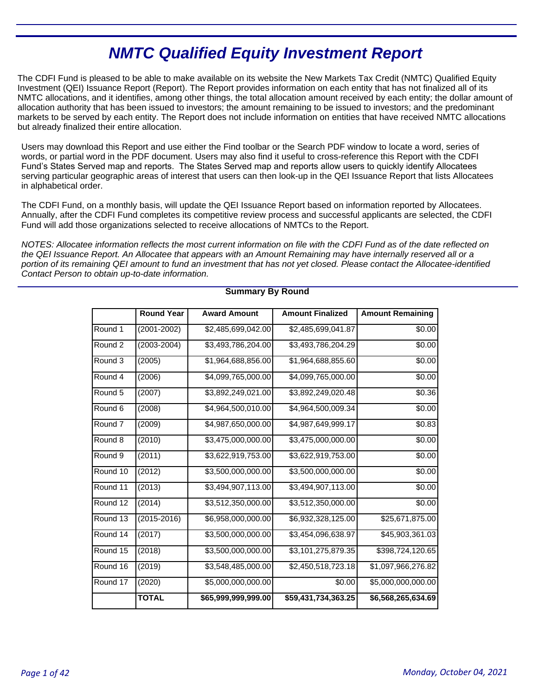# **NMTC Qualified Equity Investment Report**

The CDFI Fund is pleased to be able to make available on its website the New Markets Tax Credit (NMTC) Qualified Equity Investment (QEI) Issuance Report (Report). The Report provides information on each entity that has not finalized all of its NMTC allocations, and it identifies, among other things, the total allocation amount received by each entity; the dollar amount of allocation authority that has been issued to investors; the amount remaining to be issued to investors; and the predominant markets to be served by each entity. The Report does not include information on entities that have received NMTC allocations but already finalized their entire allocation.

Users may download this Report and use either the Find toolbar or the Search PDF window to locate a word, series of words, or partial word in the PDF document. Users may also find it useful to cross-reference this Report with the CDFI Fund's States Served map and reports. The States Served map and reports allow users to quickly identify Allocatees serving particular geographic areas of interest that users can then look-up in the QEI Issuance Report that lists Allocatees in alphabetical order.

The CDFI Fund, on a monthly basis, will update the QEI Issuance Report based on information reported by Allocatees. Annually, after the CDFI Fund completes its competitive review process and successful applicants are selected, the CDFI Fund will add those organizations selected to receive allocations of NMTCs to the Report.

NOTES: Allocatee information reflects the most current information on file with the CDFI Fund as of the date reflected on the QEI Issuance Report. An Allocatee that appears with an Amount Remaining may have internally reserved all or a portion of its remaining QEI amount to fund an investment that has not yet closed. Please contact the Allocatee-identified Contact Person to obtain up-to-date information.

|                    | <b>Round Year</b> | <b>Award Amount</b> | <b>Amount Finalized</b> | <b>Amount Remaining</b> |
|--------------------|-------------------|---------------------|-------------------------|-------------------------|
| Round 1            | $(2001 - 2002)$   | \$2,485,699,042.00  | \$2,485,699,041.87      | \$0.00                  |
| Round 2            | $(2003 - 2004)$   | \$3,493,786,204.00  | \$3,493,786,204.29      | \$0.00                  |
| Round 3            | (2005)            | \$1,964,688,856.00  | \$1,964,688,855.60      | \$0.00                  |
| Round 4            | (2006)            | \$4,099,765,000.00  | \$4,099,765,000.00      | \$0.00                  |
| Round <sub>5</sub> | (2007)            | \$3,892,249,021.00  | \$3,892,249,020.48      | \$0.36                  |
| Round <sub>6</sub> | (2008)            | \$4,964,500,010.00  | \$4,964,500,009.34      | \$0.00                  |
| Round <sub>7</sub> | (2009)            | \$4,987,650,000.00  | \$4,987,649,999.17      | \$0.83                  |
| Round 8            | (2010)            | \$3,475,000,000.00  | \$3,475,000,000.00      | \$0.00                  |
| Round 9            | (2011)            | \$3,622,919,753.00  | \$3,622,919,753.00      | \$0.00                  |
| Round 10           | (2012)            | \$3,500,000,000.00  | \$3,500,000,000.00      | \$0.00                  |
| Round 11           | (2013)            | \$3,494,907,113.00  | \$3,494,907,113.00      | \$0.00                  |
| Round 12           | (2014)            | \$3,512,350,000.00  | \$3,512,350,000.00      | \$0.00                  |
| Round 13           | (2015-2016)       | \$6,958,000,000.00  | \$6,932,328,125.00      | \$25,671,875.00         |
| Round 14           | (2017)            | \$3,500,000,000.00  | \$3,454,096,638.97      | \$45,903,361.03         |
| Round 15           | (2018)            | \$3,500,000,000.00  | \$3,101,275,879.35      | \$398,724,120.65        |
| Round 16           | (2019)            | \$3,548,485,000.00  | \$2,450,518,723.18      | \$1,097,966,276.82      |
| Round 17           | (2020)            | \$5,000,000,000.00  | \$0.00                  | \$5,000,000,000.00      |
|                    | <b>TOTAL</b>      | \$65,999,999,999.00 | \$59,431,734,363.25     | \$6,568,265,634.69      |

# **Summary By Round**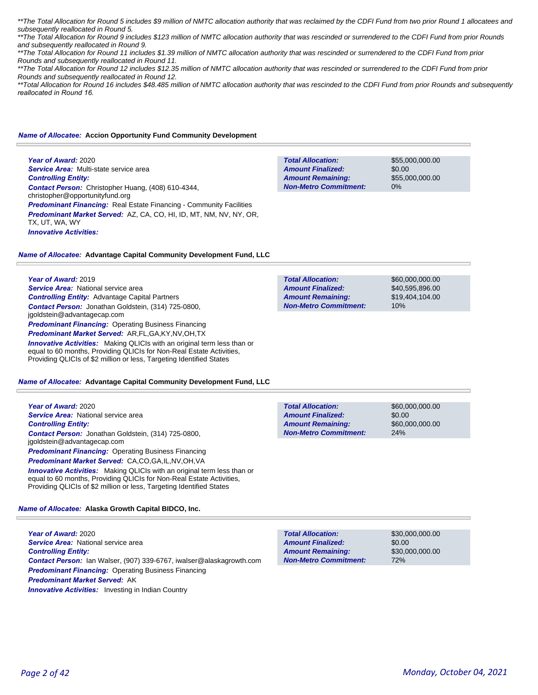\*\*The Total Allocation for Round 5 includes \$9 million of NMTC allocation authority that was reclaimed by the CDFI Fund from two prior Round 1 allocatees and subsequently reallocated in Round 5.

\*\*The Total Allocation for Round 9 includes \$123 million of NMTC allocation authority that was rescinded or surrendered to the CDFI Fund from prior Rounds and subsequently reallocated in Round 9.

\*\*The Total Allocation for Round 11 includes \$1.39 million of NMTC allocation authority that was rescinded or surrendered to the CDFI Fund from prior Rounds and subsequently reallocated in Round 11.

\*\*The Total Allocation for Round 12 includes \$12.35 million of NMTC allocation authority that was rescinded or surrendered to the CDFI Fund from prior Rounds and subsequently reallocated in Round 12.

\*\*Total Allocation for Round 16 includes \$48.485 million of NMTC allocation authority that was rescinded to the CDFI Fund from prior Rounds and subsequently *reallocated in Round 16.* 

## *Name of Allocatee:* **Accion Opportunity Fund Community Development**

**Year of Award:** 2020 *Service Area:* Multi-state service area *Controlling Entity: Contact Person:* Christopher Huang, (408) 610-4344, christopher@opportunityfund.org **Predominant Financing:** Real Estate Financing - Community Facilities *Predominant Market Served:* AZ, CA, CO, HI, ID, MT, NM, NV, NY, OR, TX, UT, WA, WY *Innovative Activities:* 

**Total Allocation: Non-Metro Commitment: Amount Remaining: Amount Finalized:**

\$55,000,000.00 \$0.00 \$55,000,000.00 0%

## *Name of Allocatee:* **Advantage Capital Community Development Fund, LLC**

**Year of Award:** 2019

*Service Area:* National service area *Controlling Entity:* Advantage Capital Partners *Contact Person:* Jonathan Goldstein, (314) 725-0800, jgoldstein@advantagecap.com **Predominant Financing: Operating Business Financing** *Predominant Market Served:* AR,FL,GA,KY,NV,OH,TX *Innovative Activities:* Making QLICIs with an original term less than or

equal to 60 months, Providing QLICIs for Non-Real Estate Activities, Providing QLICIs of \$2 million or less, Targeting Identified States

## *Name of Allocatee:* **Advantage Capital Community Development Fund, LLC**

**Year of Award:** 2020 *Service Area:* National service area *Controlling Entity: Contact Person:* Jonathan Goldstein, (314) 725-0800, jgoldstein@advantagecap.com **Predominant Financing: Operating Business Financing** *Predominant Market Served:* CA,CO,GA,IL,NV,OH,VA

**Innovative Activities:** Making QLICIs with an original term less than or equal to 60 months, Providing QLICIs for Non-Real Estate Activities, Providing QLICIs of \$2 million or less, Targeting Identified States

# *Name of Allocatee:* **Alaska Growth Capital BIDCO, Inc.**

**Year of Award:** 2020 *Service Area:* National service area *Controlling Entity: Contact Person:* Ian Walser, (907) 339-6767, iwalser@alaskagrowth.com *Predominant Financing:* Operating Business Financing *Predominant Market Served:* AK **Innovative Activities:** Investing in Indian Country

| <b>Total Allocation:</b>     | \$60,000,000,00 |
|------------------------------|-----------------|
| <b>Amount Finalized:</b>     | \$40.595.896.00 |
| <b>Amount Remaining:</b>     | \$19.404.104.00 |
| <b>Non-Metro Commitment:</b> | 10%             |
|                              |                 |

\$60,000,000.00 \$0.00 \$60,000,000.00 24% **Total Allocation: Non-Metro Commitment: Amount Remaining: Amount Finalized:**

**Total Allocation: Non-Metro Commitment: Amount Remaining: Amount Finalized:**

\$30,000,000.00 \$0.00 \$30,000,000.00 72%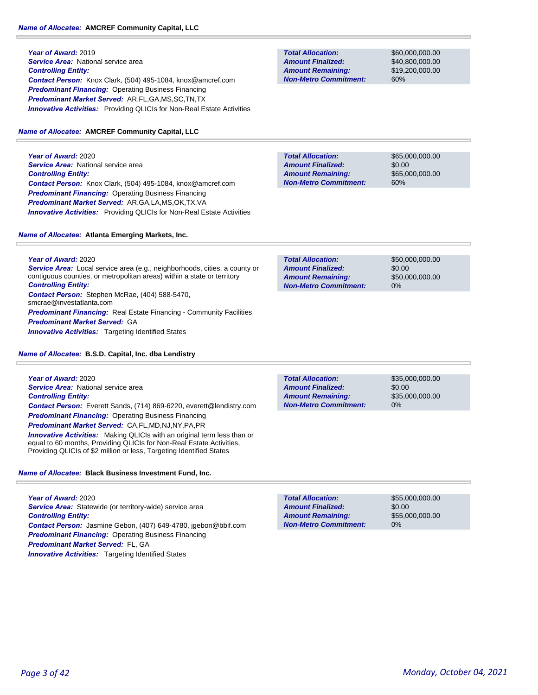# *Name of Allocatee:* **AMCREF Community Capital, LLC**

**Year of Award:** 2019 **Service Area:** National service area *Controlling Entity: Contact Person:* Knox Clark, (504) 495-1084, knox@amcref.com *Predominant Financing:* Operating Business Financing *Predominant Market Served:* AR,FL,GA,MS,SC,TN,TX *Innovative Activities:* Providing QLICIs for Non-Real Estate Activities

# *Name of Allocatee:* **AMCREF Community Capital, LLC**

**Year of Award:** 2020 **Service Area:** National service area *Controlling Entity: Contact Person:* Knox Clark, (504) 495-1084, knox@amcref.com *Predominant Financing:* Operating Business Financing *Predominant Market Served:* AR,GA,LA,MS,OK,TX,VA *Innovative Activities:* Providing QLICIs for Non-Real Estate Activities

# *Name of Allocatee:* **Atlanta Emerging Markets, Inc.**

**Year of Award:** 2020 *Service Area:* Local service area (e.g., neighborhoods, cities, a county or contiguous counties, or metropolitan areas) within a state or territory *Controlling Entity: Contact Person:* Stephen McRae, (404) 588-5470, smcrae@investatlanta.com **Predominant Financing:** Real Estate Financing - Community Facilities *Predominant Market Served:* GA *Innovative Activities:* Targeting Identified States

*Name of Allocatee:* **B.S.D. Capital, Inc. dba Lendistry**

**Year of Award:** 2020 *Service Area:* National service area *Controlling Entity: Contact Person:* Everett Sands, (714) 869-6220, everett@lendistry.com *Predominant Financing:* Operating Business Financing *Predominant Market Served:* CA,FL,MD,NJ,NY,PA,PR

*Innovative Activities:* Making QLICIs with an original term less than or equal to 60 months, Providing QLICIs for Non-Real Estate Activities, Providing QLICIs of \$2 million or less, Targeting Identified States

*Name of Allocatee:* **Black Business Investment Fund, Inc.**

**Year of Award:** 2020 Service Area: Statewide (or territory-wide) service area *Controlling Entity: Contact Person:* Jasmine Gebon, (407) 649-4780, jgebon@bbif.com *Predominant Financing:* Operating Business Financing *Predominant Market Served:* FL, GA **Innovative Activities:** Targeting Identified States

| <b>Total Allocation:</b>     |
|------------------------------|
| <b>Amount Finalized:</b>     |
| <b>Amount Remaining:</b>     |
| <b>Non-Metro Commitment:</b> |

\$60,000,000.00 \$40,800,000.00 \$19,200,000.00 60%

**Total Allocation: Non-Metro Commitment: Amount Remaining: Amount Finalized:**

\$65,000,000.00 \$0.00 \$65,000,000.00 60%

| <b>Total Allocation:</b>     | \$50,000,000,00 |
|------------------------------|-----------------|
| <b>Amount Finalized:</b>     | \$0.00          |
| <b>Amount Remaining:</b>     | \$50,000,000.00 |
| <b>Non-Metro Commitment:</b> | $0\%$           |

\$35,000,000.00 \$0.00 \$35,000,000.00 0% **Total Allocation: Non-Metro Commitment: Amount Remaining: Amount Finalized:**

\$55,000,000.00 \$0.00 \$55,000,000.00 0% **Total Allocation: Non-Metro Commitment: Amount Remaining: Amount Finalized:**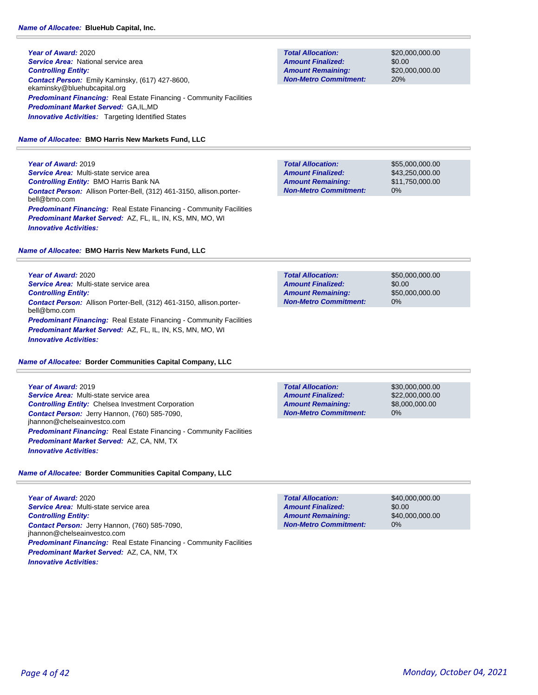**Year of Award:** 2020 **Service Area: National service area** *Controlling Entity: Contact Person:* Emily Kaminsky, (617) 427-8600, ekaminsky@bluehubcapital.org **Predominant Financing:** Real Estate Financing - Community Facilities *Predominant Market Served:* GA,IL,MD **Innovative Activities:** Targeting Identified States

# *Name of Allocatee:* **BMO Harris New Markets Fund, LLC**

**Year of Award:** 2019 *Service Area:* Multi-state service area *Controlling Entity:* BMO Harris Bank NA *Contact Person:* Allison Porter-Bell, (312) 461-3150, allison.porterbell@bmo.com **Predominant Financing:** Real Estate Financing - Community Facilities *Predominant Market Served:* AZ, FL, IL, IN, KS, MN, MO, WI *Innovative Activities:* 

# *Name of Allocatee:* **BMO Harris New Markets Fund, LLC**

**Year of Award:** 2020 *Service Area:* Multi-state service area *Controlling Entity: Contact Person:* Allison Porter-Bell, (312) 461-3150, allison.porterbell@bmo.com *Predominant Financing:* Real Estate Financing - Community Facilities *Predominant Market Served:* AZ, FL, IL, IN, KS, MN, MO, WI *Innovative Activities:* 

# *Name of Allocatee:* **Border Communities Capital Company, LLC**

**Year of Award:** 2019 *Service Area:* Multi-state service area *Controlling Entity:* Chelsea Investment Corporation *Contact Person:* Jerry Hannon, (760) 585-7090, jhannon@chelseainvestco.com *Predominant Financing:* Real Estate Financing - Community Facilities *Predominant Market Served:* AZ, CA, NM, TX *Innovative Activities:* 

# *Name of Allocatee:* **Border Communities Capital Company, LLC**

**Year of Award:** 2020 *Service Area:* Multi-state service area *Controlling Entity: Contact Person:* Jerry Hannon, (760) 585-7090, jhannon@chelseainvestco.com *Predominant Financing:* Real Estate Financing - Community Facilities *Predominant Market Served:* AZ, CA, NM, TX *Innovative Activities:* 

**Total Allocation: Non-Metro Commitment: Amount Remaining: Amount Finalized:**

\$20,000,000.00 \$0.00 \$20,000,000.00 20%

\$55,000,000.00 \$43,250,000.00 \$11,750,000.00 0% **Total Allocation: Non-Metro Commitment: Amount Remaining: Amount Finalized:**

**Total Allocation: Non-Metro Commitment: Amount Remaining: Amount Finalized:**

\$50,000,000.00 \$0.00 \$50,000,000.00 0%

**Total Allocation: Non-Metro Commitment: Amount Remaining: Amount Finalized:**

\$30,000,000.00 \$22,000,000.00 \$8,000,000.00 0%

\$40,000,000.00 \$0.00 \$40,000,000.00 0% **Total Allocation: Non-Metro Commitment: Amount Remaining: Amount Finalized:**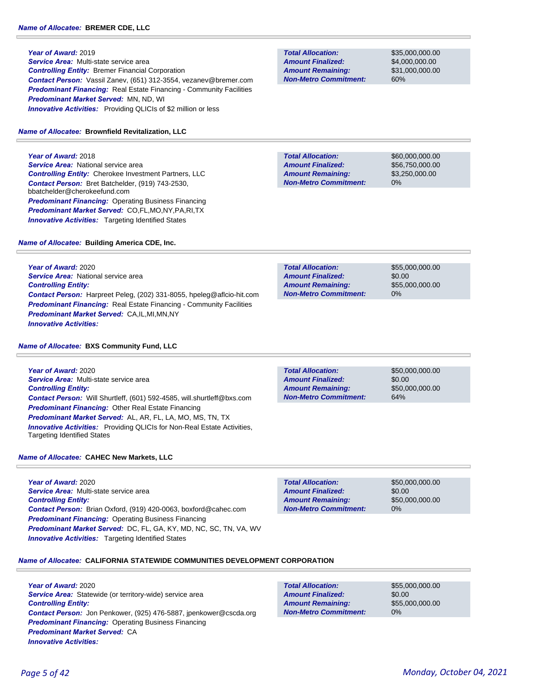**Year of Award:** 2019

*Service Area:* Multi-state service area *Controlling Entity:* Bremer Financial Corporation *Contact Person:* Vassil Zanev, (651) 312-3554, vezanev@bremer.com **Predominant Financing:** Real Estate Financing - Community Facilities *Predominant Market Served:* MN, ND, WI **Innovative Activities:** Providing QLICIs of \$2 million or less

## *Name of Allocatee:* **Brownfield Revitalization, LLC**

**Year of Award:** 2018 **Service Area:** National service area *Controlling Entity:* Cherokee Investment Partners, LLC *Contact Person:* Bret Batchelder, (919) 743-2530, bbatchelder@cherokeefund.com *Predominant Financing:* Operating Business Financing *Predominant Market Served:* CO,FL,MO,NY,PA,RI,TX **Innovative Activities:** Targeting Identified States

*Name of Allocatee:* **Building America CDE, Inc.**

**Year of Award:** 2020 *Service Area:* National service area *Controlling Entity: Contact Person:* Harpreet Peleg, (202) 331-8055, hpeleg@aflcio-hit.com **Predominant Financing:** Real Estate Financing - Community Facilities *Predominant Market Served:* CA,IL,MI,MN,NY *Innovative Activities:* 

## *Name of Allocatee:* **BXS Community Fund, LLC**

**Year of Award:** 2020 *Service Area:* Multi-state service area *Controlling Entity: Contact Person:* Will Shurtleff, (601) 592-4585, will.shurtleff@bxs.com *Predominant Financing:* Other Real Estate Financing *Predominant Market Served:* AL, AR, FL, LA, MO, MS, TN, TX *Innovative Activities:* Providing QLICIs for Non-Real Estate Activities, Targeting Identified States

*Name of Allocatee:* **CAHEC New Markets, LLC**

**Year of Award:** 2020 *Service Area:* Multi-state service area *Controlling Entity: Contact Person:* Brian Oxford, (919) 420-0063, boxford@cahec.com *Predominant Financing: Operating Business Financing Predominant Market Served:* DC, FL, GA, KY, MD, NC, SC, TN, VA, WV *Innovative Activities:* Targeting Identified States

**Total Allocation: Non-Metro Commitment: Amount Remaining: Amount Finalized:**

**Total Allocation:**

**Non-Metro Commitment: Amount Remaining: Amount Finalized:**

> \$50,000,000.00 \$0.00 \$50,000,000.00 0%

\$50,000,000.00

\$50,000,000.00

\$0.00

64%

## *Name of Allocatee:* **CALIFORNIA STATEWIDE COMMUNITIES DEVELOPMENT CORPORATION**

**Year of Award:** 2020 Service Area: Statewide (or territory-wide) service area *Controlling Entity: Contact Person:* Jon Penkower, (925) 476-5887, jpenkower@cscda.org *Predominant Financing:* Operating Business Financing *Predominant Market Served:* CA *Innovative Activities:* 

**Total Allocation:**

\$55,000,000.00 \$0.00 \$55,000,000.00 0%

\$55,000,000.00 \$0.00 \$55,000,000.00 0% **Total Allocation: Non-Metro Commitment: Amount Remaining: Amount Finalized:**

**Total Allocation: Non-Metro Commitment: Amount Remaining: Amount Finalized:**

**Total Allocation:**

**Non-Metro Commitment: Amount Remaining: Amount Finalized:**

\$4,000,000.00 \$31,000,000.00 60%

\$60,000,000.00 \$56,750,000.00 \$3,250,000.00

0%

\$35,000,000.00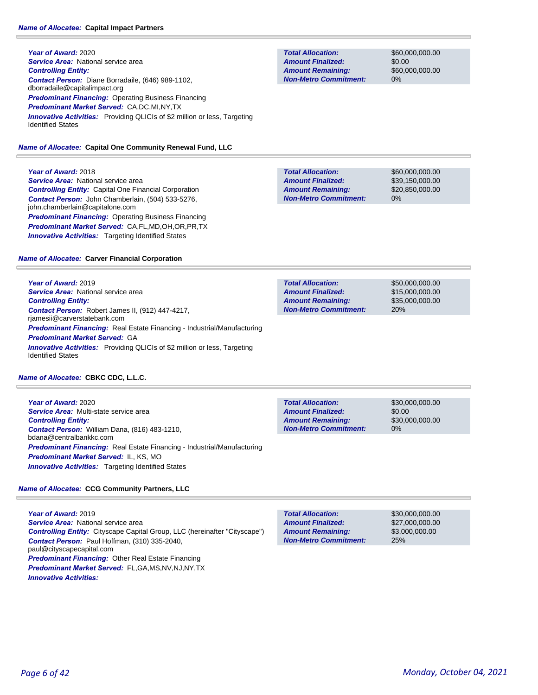**Year of Award:** 2020 **Service Area:** National service area *Controlling Entity: Contact Person:* Diane Borradaile, (646) 989-1102, dborradaile@capitalimpact.org *Predominant Financing:* Operating Business Financing *Predominant Market Served:* CA,DC,MI,NY,TX **Innovative Activities:** Providing QLICIs of \$2 million or less, Targeting Identified States

# *Name of Allocatee:* **Capital One Community Renewal Fund, LLC**

# **Year of Award:** 2018

**Service Area: National service area** *Controlling Entity:* Capital One Financial Corporation *Contact Person:* John Chamberlain, (504) 533-5276, john.chamberlain@capitalone.com **Predominant Financing: Operating Business Financing** *Predominant Market Served:* CA,FL,MD,OH,OR,PR,TX **Innovative Activities:** Targeting Identified States

# *Name of Allocatee:* **Carver Financial Corporation**

**Year of Award:** 2019 **Service Area:** National service area *Controlling Entity: Contact Person:* Robert James II, (912) 447-4217, rjamesii@carverstatebank.com *Predominant Financing:* Real Estate Financing - Industrial/Manufacturing *Predominant Market Served:* GA *Innovative Activities:* Providing QLICIs of \$2 million or less, Targeting Identified States

# *Name of Allocatee:* **CBKC CDC, L.L.C.**

**Year of Award:** 2020 *Service Area:* Multi-state service area *Controlling Entity: Contact Person:* William Dana, (816) 483-1210, bdana@centralbankkc.com *Predominant Financing:* Real Estate Financing - Industrial/Manufacturing *Predominant Market Served:* IL, KS, MO **Innovative Activities:** Targeting Identified States

# *Name of Allocatee:* **CCG Community Partners, LLC**

**Year of Award:** 2019 *Service Area:* National service area *Controlling Entity:* Cityscape Capital Group, LLC (hereinafter "Cityscape") *Contact Person:* Paul Hoffman, (310) 335-2040, paul@cityscapecapital.com *Predominant Financing:* Other Real Estate Financing *Predominant Market Served:* FL,GA,MS,NV,NJ,NY,TX *Innovative Activities:* 

**Total Allocation: Non-Metro Commitment: Amount Remaining: Amount Finalized:**

\$60,000,000.00 \$0.00 \$60,000,000.00 0%

**Total Allocation: Non-Metro Commitment: Amount Remaining: Amount Finalized:**

\$60,000,000.00 \$39,150,000.00 \$20,850,000.00 0%

\$50,000,000.00 \$15,000,000.00 \$35,000,000.00 20% **Total Allocation: Non-Metro Commitment: Amount Remaining: Amount Finalized:**

**Total Allocation: Non-Metro Commitment: Amount Remaining: Amount Finalized:**

\$30,000,000.00 \$0.00 \$30,000,000.00 0%

25% **Total Allocation: Non-Metro Commitment: Amount Remaining: Amount Finalized:**

\$30,000,000.00 \$27,000,000.00 \$3,000,000.00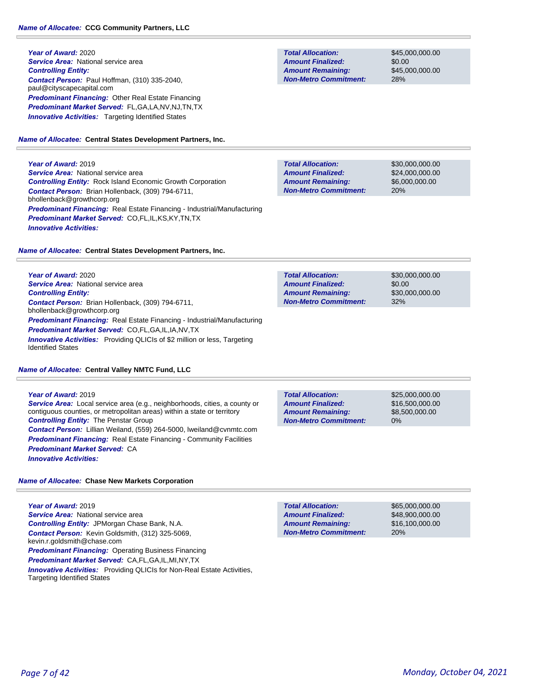**Year of Award:** 2020 **Service Area: National service area** *Controlling Entity: Contact Person:* Paul Hoffman, (310) 335-2040, paul@cityscapecapital.com *Predominant Financing:* Other Real Estate Financing *Predominant Market Served:* FL,GA,LA,NV,NJ,TN,TX **Innovative Activities:** Targeting Identified States

*Name of Allocatee:* **Central States Development Partners, Inc.**

**Year of Award:** 2019 *Service Area:* National service area *Controlling Entity:* Rock Island Economic Growth Corporation *Contact Person:* Brian Hollenback, (309) 794-6711, bhollenback@growthcorp.org *Predominant Financing:* Real Estate Financing - Industrial/Manufacturing *Predominant Market Served:* CO,FL,IL,KS,KY,TN,TX *Innovative Activities:* 

*Name of Allocatee:* **Central States Development Partners, Inc.**

**Year of Award:** 2020 **Service Area:** National service area *Controlling Entity: Contact Person:* Brian Hollenback, (309) 794-6711, bhollenback@growthcorp.org *Predominant Financing:* Real Estate Financing - Industrial/Manufacturing *Predominant Market Served:* CO,FL,GA,IL,IA,NV,TX **Innovative Activities:** Providing QLICIs of \$2 million or less, Targeting Identified States

# *Name of Allocatee:* **Central Valley NMTC Fund, LLC**

**Year of Award:** 2019 *Service Area:* Local service area (e.g., neighborhoods, cities, a county or contiguous counties, or metropolitan areas) within a state or territory *Controlling Entity:* The Penstar Group *Contact Person:* Lillian Weiland, (559) 264-5000, lweiland@cvnmtc.com **Predominant Financing:** Real Estate Financing - Community Facilities *Predominant Market Served:* CA *Innovative Activities:* 

# *Name of Allocatee:* **Chase New Markets Corporation**

**Year of Award:** 2019 **Service Area:** National service area *Controlling Entity:* JPMorgan Chase Bank, N.A. *Contact Person:* Kevin Goldsmith, (312) 325-5069, kevin.r.goldsmith@chase.com *Predominant Financing:* Operating Business Financing *Predominant Market Served:* CA,FL,GA,IL,MI,NY,TX *Innovative Activities:* Providing QLICIs for Non-Real Estate Activities, Targeting Identified States

**Total Allocation: Non-Metro Commitment: Amount Remaining: Amount Finalized:**

\$45,000,000.00 \$0.00 \$45,000,000.00 28%

\$30,000,000.00 \$24,000,000.00 \$6,000,000.00 20% **Total Allocation: Non-Metro Commitment: Amount Remaining: Amount Finalized:**

**Total Allocation: Non-Metro Commitment: Amount Remaining: Amount Finalized:**

\$30,000,000.00 \$0.00 \$30,000,000.00 32%

**Total Allocation: Non-Metro Commitment: Amount Remaining: Amount Finalized:**

\$25,000,000.00 \$16,500,000.00 \$8,500,000.00 0%

20% **Total Allocation: Non-Metro Commitment: Amount Remaining: Amount Finalized:**

\$65,000,000.00 \$48,900,000.00 \$16,100,000.00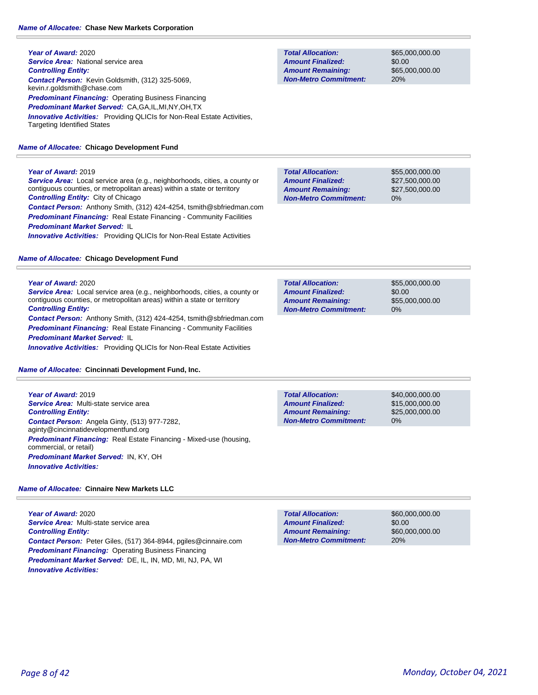# *Name of Allocatee:* **Chase New Markets Corporation**

| Year of Award: 2020                                                                                                  |
|----------------------------------------------------------------------------------------------------------------------|
| <b>Service Area:</b> National service area                                                                           |
| <b>Controlling Entity:</b>                                                                                           |
| <b>Contact Person:</b> Kevin Goldsmith, (312) 325-5069.<br>kevin.r.goldsmith@chase.com                               |
| <b>Predominant Financing:</b> Operating Business Financing                                                           |
| <b>Predominant Market Served: CA, GA, IL, MI, NY, OH, TX</b>                                                         |
| <b>Innovative Activities:</b> Providing QLICIs for Non-Real Estate Activities,<br><b>Targeting Identified States</b> |

# *Name of Allocatee:* **Chicago Development Fund**

# **Year of Award:** 2019

*Service Area:* Local service area (e.g., neighborhoods, cities, a county or contiguous counties, or metropolitan areas) within a state or territory *Controlling Entity:* City of Chicago

*Contact Person:* Anthony Smith, (312) 424-4254, tsmith@sbfriedman.com *Predominant Financing:* Real Estate Financing - Community Facilities *Predominant Market Served:* IL **Innovative Activities:** Providing QLICIs for Non-Real Estate Activities

# *Name of Allocatee:* **Chicago Development Fund**

# **Year of Award:** 2020

*Service Area:* Local service area (e.g., neighborhoods, cities, a county or contiguous counties, or metropolitan areas) within a state or territory *Controlling Entity:* 

*Contact Person:* Anthony Smith, (312) 424-4254, tsmith@sbfriedman.com **Predominant Financing:** Real Estate Financing - Community Facilities *Predominant Market Served:* IL

*Innovative Activities:* Providing QLICIs for Non-Real Estate Activities

# *Name of Allocatee:* **Cincinnati Development Fund, Inc.**

**Year of Award:** 2019 *Service Area:* Multi-state service area *Controlling Entity: Contact Person:* Angela Ginty, (513) 977-7282, aginty@cincinnatidevelopmentfund.org *Predominant Financing:* Real Estate Financing - Mixed-use (housing, commercial, or retail) *Predominant Market Served:* IN, KY, OH *Innovative Activities:* 

# *Name of Allocatee:* **Cinnaire New Markets LLC**

**Year of Award:** 2020 *Service Area:* Multi-state service area *Controlling Entity: Contact Person:* Peter Giles, (517) 364-8944, pgiles@cinnaire.com *Predominant Financing:* Operating Business Financing *Predominant Market Served:* DE, IL, IN, MD, MI, NJ, PA, WI *Innovative Activities:* 

**Total Allocation: Non-Metro Commitment: Amount Remaining: Amount Finalized:**

\$65,000,000.00 \$0.00 \$65,000,000.00 20%

\$55,000,000.00 \$27,500,000.00 \$27,500,000.00 0% **Total Allocation: Non-Metro Commitment: Amount Remaining: Amount Finalized:**

\$55,000,000.00 \$0.00 \$55,000,000.00 0% **Total Allocation: Non-Metro Commitment: Amount Remaining: Amount Finalized:**

\$40,000,000.00 0% **Total Allocation: Non-Metro Commitment: Amount Remaining: Amount Finalized:**

\$15,000,000.00 \$25,000,000.00

\$60,000,000.00 \$0.00 \$60,000,000.00 20% **Total Allocation: Non-Metro Commitment: Amount Remaining: Amount Finalized:**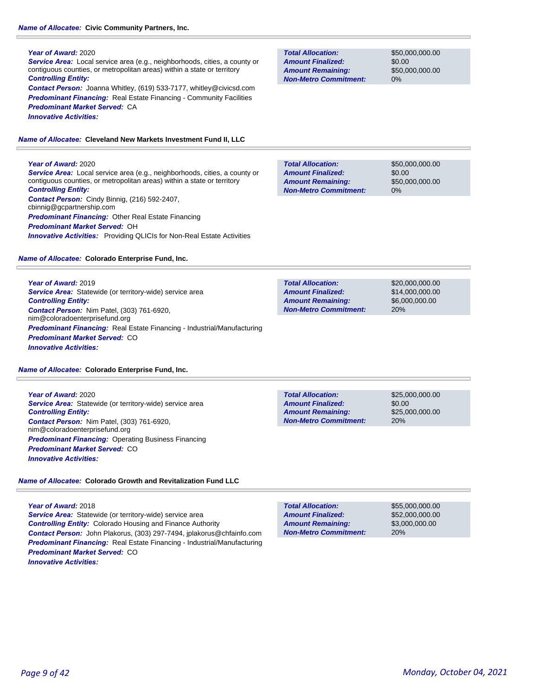# *Name of Allocatee:* **Civic Community Partners, Inc.**

## **Year of Award:** 2020

*Service Area:* Local service area (e.g., neighborhoods, cities, a county or contiguous counties, or metropolitan areas) within a state or territory *Controlling Entity:* 

*Contact Person:* Joanna Whitley, (619) 533-7177, whitley@civicsd.com **Predominant Financing:** Real Estate Financing - Community Facilities *Predominant Market Served:* CA *Innovative Activities:* 

*Name of Allocatee:* **Cleveland New Markets Investment Fund II, LLC**

# **Year of Award:** 2020

*Service Area:* Local service area (e.g., neighborhoods, cities, a county or contiguous counties, or metropolitan areas) within a state or territory *Controlling Entity: Contact Person:* Cindy Binnig, (216) 592-2407, cbinnig@gcpartnership.com *Predominant Financing:* Other Real Estate Financing *Predominant Market Served:* OH *Innovative Activities:* Providing QLICIs for Non-Real Estate Activities

# *Name of Allocatee:* **Colorado Enterprise Fund, Inc.**

**Year of Award:** 2019 *Service Area:* Statewide (or territory-wide) service area *Controlling Entity: Contact Person:* Nim Patel, (303) 761-6920, nim@coloradoenterprisefund.org *Predominant Financing:* Real Estate Financing - Industrial/Manufacturing *Predominant Market Served:* CO *Innovative Activities:* 

*Name of Allocatee:* **Colorado Enterprise Fund, Inc.**

**Year of Award:** 2020 *Service Area:* Statewide (or territory-wide) service area *Controlling Entity: Contact Person:* Nim Patel, (303) 761-6920, nim@coloradoenterprisefund.org *Predominant Financing:* Operating Business Financing *Predominant Market Served:* CO *Innovative Activities:* 

# *Name of Allocatee:* **Colorado Growth and Revitalization Fund LLC**

**Year of Award:** 2018 *Service Area:* Statewide (or territory-wide) service area *Controlling Entity:* Colorado Housing and Finance Authority *Contact Person:* John Plakorus, (303) 297-7494, jplakorus@chfainfo.com *Predominant Financing:* Real Estate Financing - Industrial/Manufacturing *Predominant Market Served:* CO *Innovative Activities:* 

**Total Allocation: Non-Metro Commitment: Amount Remaining: Amount Finalized:**

\$50,000,000.00 \$0.00 \$50,000,000.00 0%

\$50,000,000.00 \$0.00 \$50,000,000.00 0% **Total Allocation: Non-Metro Commitment: Amount Remaining: Amount Finalized:**

\$20,000,000.00 \$14,000,000.00 \$6,000,000.00 20% **Total Allocation: Non-Metro Commitment: Amount Remaining: Amount Finalized:**

**Total Allocation: Non-Metro Commitment: Amount Remaining: Amount Finalized:**

\$25,000,000.00 \$0.00 \$25,000,000.00 20%

**Total Allocation: Non-Metro Commitment: Amount Remaining: Amount Finalized:**

\$55,000,000.00 \$52,000,000.00 \$3,000,000.00 20%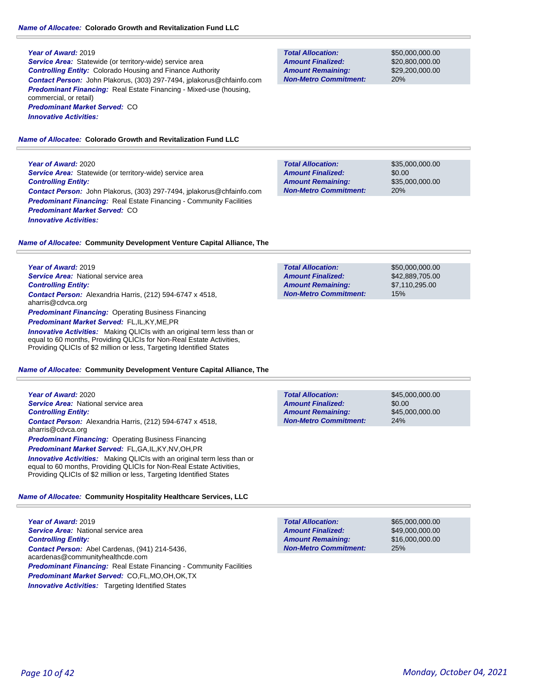#### **Year of Award:** 2019

**Service Area:** Statewide (or territory-wide) service area *Controlling Entity:* Colorado Housing and Finance Authority *Contact Person:* John Plakorus, (303) 297-7494, jplakorus@chfainfo.com **Predominant Financing:** Real Estate Financing - Mixed-use (housing, commercial, or retail) *Predominant Market Served:* CO *Innovative Activities:* 

## *Name of Allocatee:* **Colorado Growth and Revitalization Fund LLC**

**Year of Award:** 2020 **Service Area:** Statewide (or territory-wide) service area *Controlling Entity: Contact Person:* John Plakorus, (303) 297-7494, jplakorus@chfainfo.com **Predominant Financing:** Real Estate Financing - Community Facilities *Predominant Market Served:* CO *Innovative Activities:* 

\$35,000,000.00 \$0.00 \$35,000,000.00 20% **Total Allocation: Non-Metro Commitment: Amount Remaining: Amount Finalized:**

*Name of Allocatee:* **Community Development Venture Capital Alliance, The**

**Year of Award:** 2019 *Service Area:* National service area *Controlling Entity: Contact Person:* Alexandria Harris, (212) 594-6747 x 4518, aharris@cdvca.org **Predominant Financing: Operating Business Financing** *Predominant Market Served:* FL,IL,KY,ME,PR **Innovative Activities:** Making QLICIs with an original term less than or

equal to 60 months, Providing QLICIs for Non-Real Estate Activities, Providing QLICIs of \$2 million or less, Targeting Identified States

#### *Name of Allocatee:* **Community Development Venture Capital Alliance, The**

**Year of Award:** 2020 *Service Area:* National service area *Controlling Entity: Contact Person:* Alexandria Harris, (212) 594-6747 x 4518, aharris@cdvca.org *Predominant Financing:* Operating Business Financing *Predominant Market Served:* FL,GA,IL,KY,NV,OH,PR

**Innovative Activities:** Making QLICIs with an original term less than or equal to 60 months, Providing QLICIs for Non-Real Estate Activities, Providing QLICIs of \$2 million or less, Targeting Identified States

#### *Name of Allocatee:* **Community Hospitality Healthcare Services, LLC**

**Year of Award:** 2019 **Service Area:** National service area *Controlling Entity: Contact Person:* Abel Cardenas, (941) 214-5436, acardenas@communityhealthcde.com **Predominant Financing:** Real Estate Financing - Community Facilities *Predominant Market Served:* CO,FL,MO,OH,OK,TX **Innovative Activities:** Targeting Identified States

| <b>Total Allocation:</b><br><b>Amount Finalized:</b> | \$50,000,000,00<br>\$42,889,705.00 |
|------------------------------------------------------|------------------------------------|
| <b>Amount Remaining:</b>                             | \$7.110.295.00                     |
| <b>Non-Metro Commitment:</b>                         | 15%                                |
|                                                      |                                    |

| <b>Total Allocation:</b>     | \$45,000,000,00 |
|------------------------------|-----------------|
| <b>Amount Finalized:</b>     | \$0.00          |
| <b>Amount Remaining:</b>     | \$45,000,000,00 |
| <b>Non-Metro Commitment:</b> | 24%             |

\$65,000,000.00 \$49,000,000.00 \$16,000,000.00 25% **Total Allocation: Non-Metro Commitment: Amount Remaining: Amount Finalized:**

**Non-Metro Commitment: Amount Remaining:**

**Total Allocation:**

**Amount Finalized:**

\$50,000,000.00 \$20,800,000.00 \$29,200,000.00 20%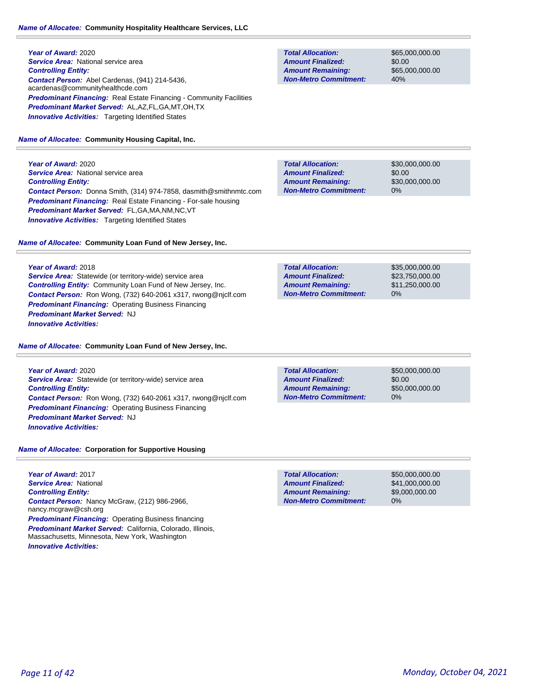**Year of Award:** 2020 **Service Area:** National service area *Controlling Entity: Contact Person:* Abel Cardenas, (941) 214-5436, acardenas@communityhealthcde.com **Predominant Financing:** Real Estate Financing - Community Facilities *Predominant Market Served:* AL,AZ,FL,GA,MT,OH,TX **Innovative Activities:** Targeting Identified States

## *Name of Allocatee:* **Community Housing Capital, Inc.**

**Year of Award:** 2020 **Service Area: National service area** *Controlling Entity: Contact Person:* Donna Smith, (314) 974-7858, dasmith@smithnmtc.com *Predominant Financing:* Real Estate Financing - For-sale housing *Predominant Market Served:* FL,GA,MA,NM,NC,VT **Innovative Activities:** Targeting Identified States

*Name of Allocatee:* **Community Loan Fund of New Jersey, Inc.**

## **Year of Award:** 2018

*Service Area:* Statewide (or territory-wide) service area *Controlling Entity:* Community Loan Fund of New Jersey, Inc. *Contact Person:* Ron Wong, (732) 640-2061 x317, rwong@njclf.com *Predominant Financing:* Operating Business Financing *Predominant Market Served:* NJ *Innovative Activities:* 

## *Name of Allocatee:* **Community Loan Fund of New Jersey, Inc.**

**Year of Award:** 2020 **Service Area:** Statewide (or territory-wide) service area *Controlling Entity: Contact Person:* Ron Wong, (732) 640-2061 x317, rwong@njclf.com *Predominant Financing: Operating Business Financing Predominant Market Served:* NJ *Innovative Activities:* 

## *Name of Allocatee:* **Corporation for Supportive Housing**

**Year of Award:** 2017 *Service Area:* National *Controlling Entity: Contact Person:* Nancy McGraw, (212) 986-2966, nancy.mcgraw@csh.org *Predominant Financing: Operating Business financing Predominant Market Served:* California, Colorado, Illinois, Massachusetts, Minnesota, New York, Washington *Innovative Activities:* 

**Total Allocation: Non-Metro Commitment: Amount Remaining: Amount Finalized:**

\$65,000,000.00 \$0.00 \$65,000,000.00 40%

\$30,000,000.00 \$0.00 \$30,000,000.00 0% **Total Allocation: Non-Metro Commitment: Amount Remaining: Amount Finalized:**

| <b>Total Allocation:</b>     | \$35,000,000,00 |
|------------------------------|-----------------|
| <b>Amount Finalized:</b>     | \$23.750.000.00 |
| <b>Amount Remaining:</b>     | \$11,250,000.00 |
| <b>Non-Metro Commitment:</b> | $0\%$           |

\$0.00 0% **Total Allocation: Non-Metro Commitment: Amount Remaining: Amount Finalized:**

\$50,000,000.00 \$50,000,000.00

**Total Allocation: Non-Metro Commitment: Amount Remaining: Amount Finalized:**

\$50,000,000.00 \$41,000,000.00 \$9,000,000.00 0%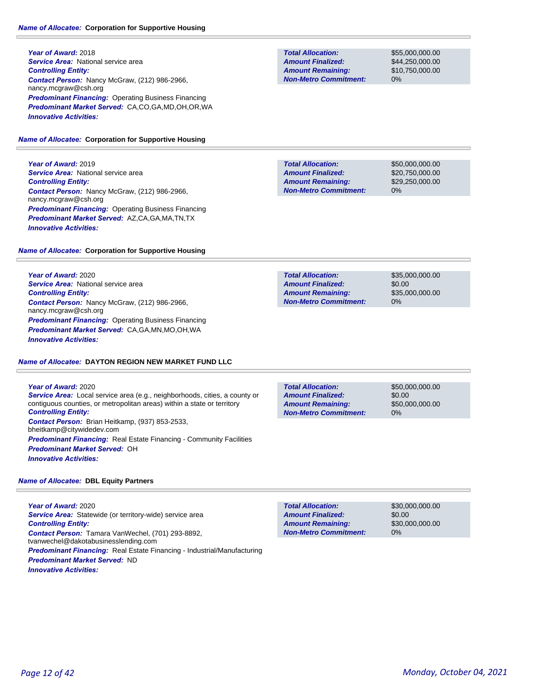**Year of Award:** 2018 **Service Area: National service area** *Controlling Entity: Contact Person:* Nancy McGraw, (212) 986-2966, nancy.mcgraw@csh.org *Predominant Financing:* Operating Business Financing *Predominant Market Served:* CA,CO,GA,MD,OH,OR,WA *Innovative Activities:* 

# *Name of Allocatee:* **Corporation for Supportive Housing**

**Year of Award:** 2019 **Service Area: National service area** *Controlling Entity: Contact Person:* Nancy McGraw, (212) 986-2966, nancy.mcgraw@csh.org *Predominant Financing:* Operating Business Financing *Predominant Market Served:* AZ,CA,GA,MA,TN,TX *Innovative Activities:* 

# *Name of Allocatee:* **Corporation for Supportive Housing**

**Year of Award:** 2020 **Service Area:** National service area *Controlling Entity: Contact Person:* Nancy McGraw, (212) 986-2966, nancy.mcgraw@csh.org *Predominant Financing:* Operating Business Financing *Predominant Market Served:* CA,GA,MN,MO,OH,WA *Innovative Activities:* 

# *Name of Allocatee:* **DAYTON REGION NEW MARKET FUND LLC**

**Year of Award:** 2020 *Service Area:* Local service area (e.g., neighborhoods, cities, a county or contiguous counties, or metropolitan areas) within a state or territory *Controlling Entity: Contact Person:* Brian Heitkamp, (937) 853-2533, bheitkamp@citywidedev.com **Predominant Financing:** Real Estate Financing - Community Facilities *Predominant Market Served:* OH *Innovative Activities:* 

# *Name of Allocatee:* **DBL Equity Partners**

**Year of Award:** 2020 **Service Area:** Statewide (or territory-wide) service area *Controlling Entity: Contact Person:* Tamara VanWechel, (701) 293-8892, tvanwechel@dakotabusinesslending.com *Predominant Financing:* Real Estate Financing - Industrial/Manufacturing *Predominant Market Served:* ND *Innovative Activities:* 

**Total Allocation: Non-Metro Commitment: Amount Remaining: Amount Finalized:**

\$55,000,000.00 \$44,250,000.00 \$10,750,000.00 0%

\$50,000,000.00 \$20,750,000.00 \$29,250,000.00 0% **Total Allocation: Non-Metro Commitment: Amount Remaining: Amount Finalized:**

**Total Allocation: Non-Metro Commitment: Amount Remaining: Amount Finalized:**

\$35,000,000.00 \$0.00 \$35,000,000.00 0%

**Total Allocation: Non-Metro Commitment: Amount Remaining: Amount Finalized:**

\$50,000,000.00 \$0.00 \$50,000,000.00 0%

**Total Allocation: Non-Metro Commitment: Amount Remaining: Amount Finalized:**

\$30,000,000.00 \$0.00 \$30,000,000.00 0%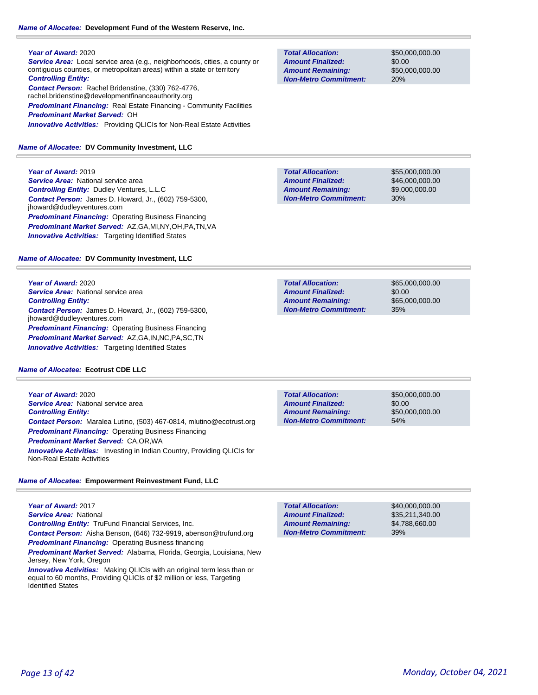#### *Name of Allocatee:* **Development Fund of the Western Reserve, Inc.**

#### **Year of Award:** 2020

*Service Area:* Local service area (e.g., neighborhoods, cities, a county or contiguous counties, or metropolitan areas) within a state or territory *Controlling Entity: Contact Person:* Rachel Bridenstine, (330) 762-4776, rachel.bridenstine@developmentfinanceauthority.org **Predominant Financing:** Real Estate Financing - Community Facilities *Predominant Market Served:* OH *Innovative Activities:* Providing QLICIs for Non-Real Estate Activities

#### *Name of Allocatee:* **DV Community Investment, LLC**

**Year of Award:** 2019 **Service Area: National service area** *Controlling Entity:* Dudley Ventures, L.L.C *Contact Person:* James D. Howard, Jr., (602) 759-5300, jhoward@dudleyventures.com *Predominant Financing:* Operating Business Financing *Predominant Market Served:* AZ,GA,MI,NY,OH,PA,TN,VA **Innovative Activities:** Targeting Identified States

#### *Name of Allocatee:* **DV Community Investment, LLC**

**Year of Award:** 2020 **Service Area:** National service area *Controlling Entity: Contact Person:* James D. Howard, Jr., (602) 759-5300, jhoward@dudleyventures.com *Predominant Financing:* Operating Business Financing *Predominant Market Served:* AZ,GA,IN,NC,PA,SC,TN *Innovative Activities:* Targeting Identified States

#### *Name of Allocatee:* **Ecotrust CDE LLC**

**Year of Award:** 2020 **Service Area:** National service area *Controlling Entity: Contact Person:* Maralea Lutino, (503) 467-0814, mlutino@ecotrust.org *Predominant Financing: Operating Business Financing Predominant Market Served:* CA,OR,WA **Innovative Activities:** Investing in Indian Country, Providing QLICIs for Non-Real Estate Activities

## *Name of Allocatee:* **Empowerment Reinvestment Fund, LLC**

**Year of Award:** 2017 *Service Area:* National *Controlling Entity:* TruFund Financial Services, Inc. *Contact Person:* Aisha Benson, (646) 732-9919, abenson@trufund.org **Predominant Financing: Operating Business financing** 

*Predominant Market Served:* Alabama, Florida, Georgia, Louisiana, New Jersey, New York, Oregon

*Innovative Activities:* Making QLICIs with an original term less than or equal to 60 months, Providing QLICIs of \$2 million or less, Targeting Identified States

**Total Allocation: Non-Metro Commitment: Amount Remaining: Amount Finalized:**

\$50,000,000.00 \$0.00 \$50,000,000.00 20%

**Total Allocation: Non-Metro Commitment: Amount Remaining: Amount Finalized:**

\$55,000,000.00 \$46,000,000.00 \$9,000,000.00 30%

\$0.00 35% **Total Allocation: Non-Metro Commitment: Amount Remaining: Amount Finalized:**

\$65,000,000.00 \$65,000,000.00

\$0.00 54% **Total Allocation: Non-Metro Commitment: Amount Remaining: Amount Finalized:**

\$50,000,000.00 \$50,000,000.00

**Total Allocation: Non-Metro Commitment: Amount Remaining: Amount Finalized:**

\$40,000,000.00 \$35,211,340.00 \$4,788,660.00 39%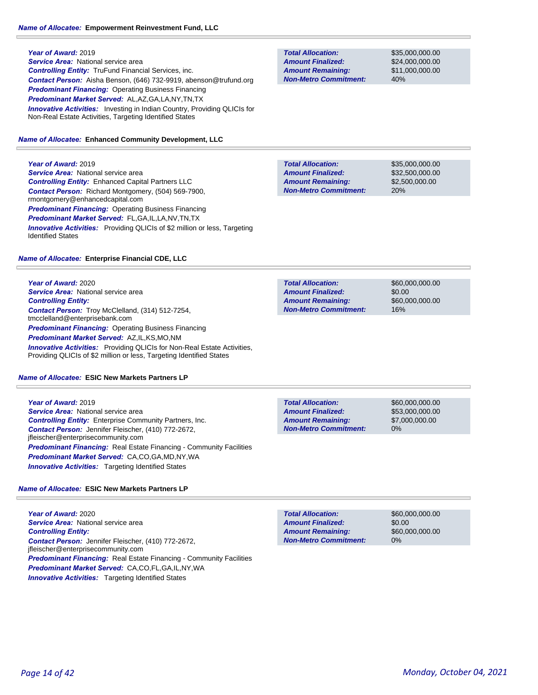**Year of Award:** 2019 **Service Area:** National service area *Controlling Entity:* TruFund Financial Services, inc. *Contact Person:* Aisha Benson, (646) 732-9919, abenson@trufund.org *Predominant Financing:* Operating Business Financing *Predominant Market Served:* AL,AZ,GA,LA,NY,TN,TX **Innovative Activities:** Investing in Indian Country, Providing QLICIs for Non-Real Estate Activities, Targeting Identified States

#### *Name of Allocatee:* **Enhanced Community Development, LLC**

**Year of Award:** 2019

**Service Area: National service area** *Controlling Entity:* Enhanced Capital Partners LLC *Contact Person:* Richard Montgomery, (504) 569-7900, rmontgomery@enhancedcapital.com **Predominant Financing: Operating Business Financing** *Predominant Market Served:* FL,GA,IL,LA,NV,TN,TX **Innovative Activities:** Providing QLICIs of \$2 million or less, Targeting Identified States

## *Name of Allocatee:* **Enterprise Financial CDE, LLC**

**Year of Award:** 2020 **Service Area:** National service area *Controlling Entity: Contact Person:* Troy McClelland, (314) 512-7254, tmcclelland@enterprisebank.com *Predominant Financing:* Operating Business Financing *Predominant Market Served:* AZ,IL,KS,MO,NM **Innovative Activities:** Providing QLICIs for Non-Real Estate Activities, Providing QLICIs of \$2 million or less, Targeting Identified States

#### *Name of Allocatee:* **ESIC New Markets Partners LP**

**Year of Award:** 2019 *Service Area:* National service area *Controlling Entity:* Enterprise Community Partners, Inc. *Contact Person:* Jennifer Fleischer, (410) 772-2672, jfleischer@enterprisecommunity.com **Predominant Financing:** Real Estate Financing - Community Facilities *Predominant Market Served:* CA,CO,GA,MD,NY,WA *Innovative Activities:* Targeting Identified States

## *Name of Allocatee:* **ESIC New Markets Partners LP**

**Year of Award:** 2020 *Service Area:* National service area *Controlling Entity: Contact Person:* Jennifer Fleischer, (410) 772-2672, jfleischer@enterprisecommunity.com **Predominant Financing:** Real Estate Financing - Community Facilities *Predominant Market Served:* CA,CO,FL,GA,IL,NY,WA **Innovative Activities:** Targeting Identified States

**Total Allocation: Non-Metro Commitment: Amount Remaining: Amount Finalized:**

\$35,000,000.00 \$24,000,000.00 \$11,000,000.00 40%

**Total Allocation: Non-Metro Commitment: Amount Remaining: Amount Finalized:**

\$35,000,000.00 \$32,500,000.00 \$2,500,000.00 20%

\$60,000,000.00 \$0.00 \$60,000,000.00 16% **Total Allocation: Non-Metro Commitment: Amount Remaining: Amount Finalized:**

**Total Allocation: Non-Metro Commitment: Amount Remaining: Amount Finalized:**

\$60,000,000.00 \$53,000,000.00 \$7,000,000.00 0%

\$0.00 0% **Total Allocation: Non-Metro Commitment: Amount Remaining: Amount Finalized:**

\$60,000,000.00 \$60,000,000.00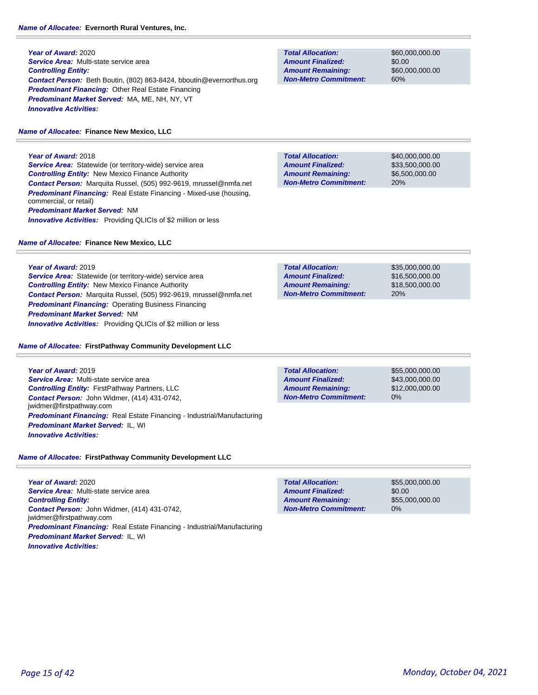# *Name of Allocatee:* **Evernorth Rural Ventures, Inc.**

**Year of Award:** 2020 *Service Area:* Multi-state service area *Controlling Entity: Contact Person:* Beth Boutin, (802) 863-8424, bboutin@evernorthus.org *Predominant Financing:* Other Real Estate Financing *Predominant Market Served:* MA, ME, NH, NY, VT *Innovative Activities:* 

# *Name of Allocatee:* **Finance New Mexico, LLC**

**Year of Award:** 2018 *Service Area:* Statewide (or territory-wide) service area *Controlling Entity:* New Mexico Finance Authority *Contact Person:* Marquita Russel, (505) 992-9619, mrussel@nmfa.net *Predominant Financing:* Real Estate Financing - Mixed-use (housing, commercial, or retail) *Predominant Market Served:* NM **Innovative Activities:** Providing QLICIs of \$2 million or less

# *Name of Allocatee:* **Finance New Mexico, LLC**

**Total Allocation: Non-Metro Commitment: Amount Remaining: Amount Finalized:**

\$60,000,000.00 \$0.00 \$60,000,000.00 60%

**Total Allocation: Non-Metro Commitment: Amount Remaining: Amount Finalized:**

**Total Allocation:**

**Non-Metro Commitment: Amount Remaining: Amount Finalized:**

\$40,000,000.00 \$33,500,000.00 \$6,500,000.00 20%

\$35,000,000.00 \$16,500,000.00 \$18,500,000.00

20%

**Year of Award:** 2019 *Service Area:* Statewide (or territory-wide) service area *Controlling Entity:* New Mexico Finance Authority *Contact Person:* Marquita Russel, (505) 992-9619, mrussel@nmfa.net *Predominant Financing:* Operating Business Financing *Predominant Market Served:* NM *Innovative Activities:* Providing QLICIs of \$2 million or less

## *Name of Allocatee:* **FirstPathway Community Development LLC**

**Year of Award:** 2019 *Service Area:* Multi-state service area *Controlling Entity:* FirstPathway Partners, LLC *Contact Person:* John Widmer, (414) 431-0742, jwidmer@firstpathway.com *Predominant Financing:* Real Estate Financing - Industrial/Manufacturing *Predominant Market Served:* IL, WI *Innovative Activities:* 

0% **Total Allocation: Non-Metro Commitment: Amount Remaining: Amount Finalized:**

\$55,000,000.00 \$43,000,000.00 \$12,000,000.00

*Name of Allocatee:* **FirstPathway Community Development LLC**

**Year of Award:** 2020 *Service Area:* Multi-state service area *Controlling Entity: Contact Person:* John Widmer, (414) 431-0742, jwidmer@firstpathway.com *Predominant Financing:* Real Estate Financing - Industrial/Manufacturing *Predominant Market Served:* IL, WI *Innovative Activities:* 

**Total Allocation: Non-Metro Commitment: Amount Remaining: Amount Finalized:**

\$55,000,000.00 \$0.00 \$55,000,000.00 0%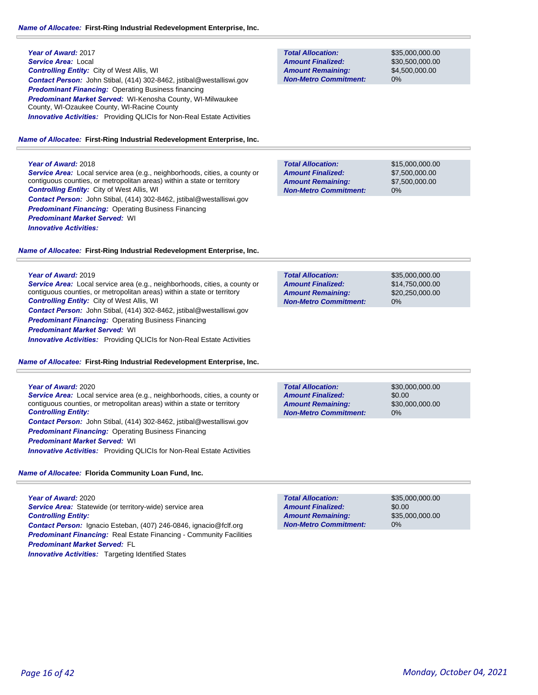| Year of Award: 2017                                                                                              |
|------------------------------------------------------------------------------------------------------------------|
| Service Area: Local                                                                                              |
| <b>Controlling Entity:</b> City of West Allis, WI                                                                |
| <b>Contact Person:</b> John Stibal, (414) 302-8462, jstibal@westalliswi.gov                                      |
| <b>Predominant Financing: Operating Business financing</b>                                                       |
| <b>Predominant Market Served: WI-Kenosha County, WI-Milwaukee</b><br>County, WI-Ozaukee County, WI-Racine County |
| <b>Innovative Activities:</b> Providing QLICIs for Non-Real Estate Activities                                    |
|                                                                                                                  |

#### *Name of Allocatee:* **First-Ring Industrial Redevelopment Enterprise, Inc.**

## **Year of Award:** 2018

*Service Area:* Local service area (e.g., neighborhoods, cities, a county or contiguous counties, or metropolitan areas) within a state or territory *Controlling Entity:* City of West Allis, WI *Contact Person:* John Stibal, (414) 302-8462, jstibal@westalliswi.gov **Predominant Financing: Operating Business Financing** *Predominant Market Served:* WI *Innovative Activities:* 

## *Name of Allocatee:* **First-Ring Industrial Redevelopment Enterprise, Inc.**

#### **Year of Award:** 2019

*Service Area:* Local service area (e.g., neighborhoods, cities, a county or contiguous counties, or metropolitan areas) within a state or territory *Controlling Entity:* City of West Allis, WI *Contact Person:* John Stibal, (414) 302-8462, jstibal@westalliswi.gov *Predominant Financing: Operating Business Financing Predominant Market Served:* WI

**Innovative Activities:** Providing QLICIs for Non-Real Estate Activities

*Name of Allocatee:* **First-Ring Industrial Redevelopment Enterprise, Inc.**

# **Year of Award:** 2020 *Service Area:* Local service area (e.g., neighborhoods, cities, a county or

contiguous counties, or metropolitan areas) within a state or territory *Controlling Entity:* 

*Contact Person:* John Stibal, (414) 302-8462, jstibal@westalliswi.gov *Predominant Financing: Operating Business Financing* 

*Predominant Market Served:* WI

*Innovative Activities:* Providing QLICIs for Non-Real Estate Activities

*Name of Allocatee:* **Florida Community Loan Fund, Inc.**

**Year of Award:** 2020 *Service Area:* Statewide (or territory-wide) service area *Controlling Entity: Contact Person:* Ignacio Esteban, (407) 246-0846, ignacio@fclf.org **Predominant Financing:** Real Estate Financing - Community Facilities *Predominant Market Served:* FL **Innovative Activities:** Targeting Identified States

## **Total Allocation: Non-Metro Commitment: Amount Remaining: Amount Finalized:**

\$35,000,000.00 \$30,500,000.00 \$4,500,000.00 0%

\$15,000,000.00 \$7,500,000.00 \$7,500,000.00 0% **Total Allocation: Non-Metro Commitment: Amount Remaining: Amount Finalized:**

\$35,000,000.00 \$14,750,000.00 \$20,250,000.00 0% **Total Allocation: Non-Metro Commitment: Amount Remaining: Amount Finalized:**

\$30,000,000.00 \$0.00 \$30,000,000.00 0% **Total Allocation: Non-Metro Commitment: Amount Remaining: Amount Finalized:**

\$35,000,000.00 \$0.00 \$35,000,000.00 0% **Total Allocation: Non-Metro Commitment: Amount Remaining: Amount Finalized:**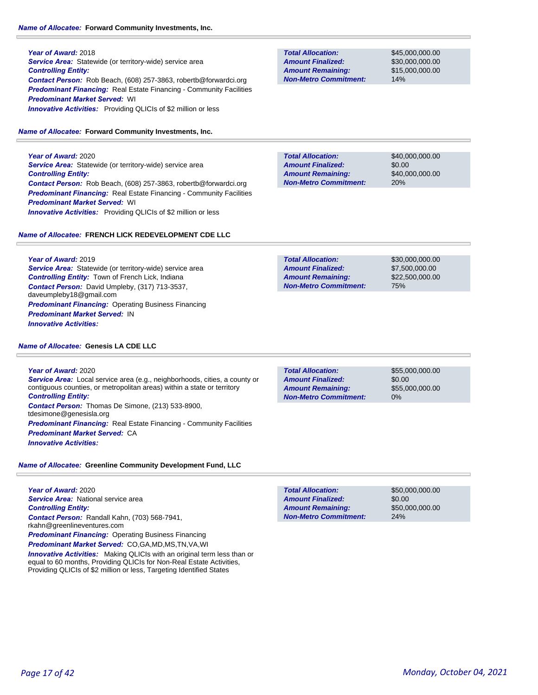# **Year of Award:** 2018 **Service Area:** Statewide (or territory-wide) service area *Controlling Entity: Contact Person:* Rob Beach, (608) 257-3863, robertb@forwardci.org **Predominant Financing:** Real Estate Financing - Community Facilities *Predominant Market Served:* WI **Innovative Activities:** Providing QLICIs of \$2 million or less

# *Name of Allocatee:* **Forward Community Investments, Inc.**

**Year of Award:** 2020 **Service Area:** Statewide (or territory-wide) service area *Controlling Entity: Contact Person:* Rob Beach, (608) 257-3863, robertb@forwardci.org **Predominant Financing:** Real Estate Financing - Community Facilities *Predominant Market Served:* WI *Innovative Activities:* Providing QLICIs of \$2 million or less

# *Name of Allocatee:* **FRENCH LICK REDEVELOPMENT CDE LLC**

**Year of Award:** 2019 *Service Area:* Statewide (or territory-wide) service area *Controlling Entity:* Town of French Lick, Indiana *Contact Person:* David Umpleby, (317) 713-3537, daveumpleby18@gmail.com **Predominant Financing: Operating Business Financing** *Predominant Market Served:* IN *Innovative Activities:* 

# *Name of Allocatee:* **Genesis LA CDE LLC**

**Year of Award:** 2020 *Service Area:* Local service area (e.g., neighborhoods, cities, a county or contiguous counties, or metropolitan areas) within a state or territory *Controlling Entity: Contact Person:* Thomas De Simone, (213) 533-8900, tdesimone@genesisla.org **Predominant Financing:** Real Estate Financing - Community Facilities *Predominant Market Served:* CA *Innovative Activities:* 

# *Name of Allocatee:* **Greenline Community Development Fund, LLC**

**Year of Award:** 2020 *Service Area:* National service area *Controlling Entity: Contact Person:* Randall Kahn, (703) 568-7941, rkahn@greenlineventures.com *Predominant Financing:* Operating Business Financing

*Predominant Market Served:* CO,GA,MD,MS,TN,VA,WI **Innovative Activities:** Making QLICIs with an original term less than or

equal to 60 months, Providing QLICIs for Non-Real Estate Activities, Providing QLICIs of \$2 million or less, Targeting Identified States

**Total Allocation: Non-Metro Commitment: Amount Remaining: Amount Finalized:**

\$45,000,000.00 \$30,000,000.00 \$15,000,000.00 14%

**Total Allocation: Non-Metro Commitment: Amount Remaining: Amount Finalized:**

\$40,000,000.00 \$0.00 \$40,000,000.00 20%

\$30,000,000.00 \$7,500,000.00 \$22,500,000.00 75% **Total Allocation: Non-Metro Commitment: Amount Remaining: Amount Finalized:**

\$0.00 0% **Total Allocation: Non-Metro Commitment: Amount Remaining: Amount Finalized:**

\$55,000,000.00 \$55,000,000.00

\$50,000,000.00 \$0.00 \$50,000,000.00 24% **Total Allocation: Non-Metro Commitment: Amount Remaining: Amount Finalized:**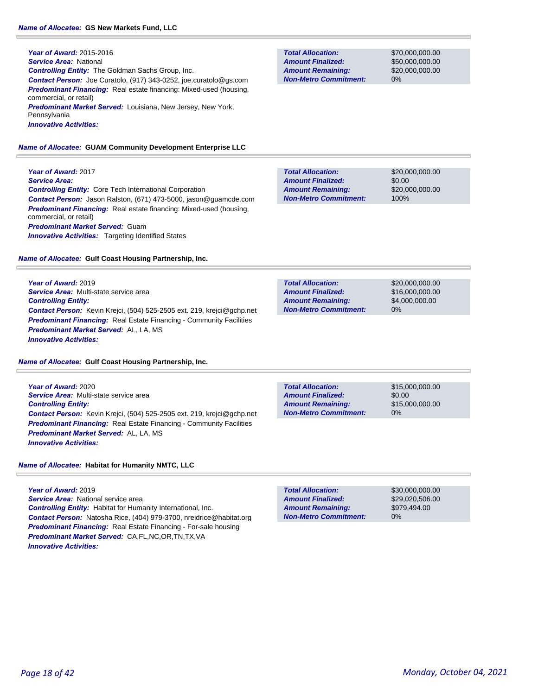**Year of Award:** 2015-2016 *Service Area:* National *Controlling Entity:* The Goldman Sachs Group, Inc. *Contact Person:* Joe Curatolo, (917) 343-0252, joe.curatolo@gs.com *Predominant Financing:* Real estate financing: Mixed-used (housing, commercial, or retail) *Predominant Market Served:* Louisiana, New Jersey, New York, Pennsylvania *Innovative Activities:* 

## *Name of Allocatee:* **GUAM Community Development Enterprise LLC**

**Year of Award:** 2017 *Service Area: Controlling Entity:* Core Tech International Corporation *Contact Person:* Jason Ralston, (671) 473-5000, jason@guamcde.com *Predominant Financing:* Real estate financing: Mixed-used (housing, commercial, or retail) *Predominant Market Served:* Guam **Innovative Activities:** Targeting Identified States

#### *Name of Allocatee:* **Gulf Coast Housing Partnership, Inc.**

**Year of Award:** 2019 *Service Area:* Multi-state service area *Controlling Entity: Contact Person:* Kevin Krejci, (504) 525-2505 ext. 219, krejci@gchp.net **Predominant Financing:** Real Estate Financing - Community Facilities *Predominant Market Served:* AL, LA, MS *Innovative Activities:* 

*Name of Allocatee:* **Gulf Coast Housing Partnership, Inc.**

**Year of Award:** 2020 *Service Area:* Multi-state service area *Controlling Entity: Contact Person:* Kevin Krejci, (504) 525-2505 ext. 219, krejci@gchp.net **Predominant Financing:** Real Estate Financing - Community Facilities *Predominant Market Served:* AL, LA, MS *Innovative Activities:* 

*Name of Allocatee:* **Habitat for Humanity NMTC, LLC**

**Year of Award:** 2019 *Service Area:* National service area *Controlling Entity:* Habitat for Humanity International, Inc. *Contact Person:* Natosha Rice, (404) 979-3700, nreidrice@habitat.org *Predominant Financing:* Real Estate Financing - For-sale housing *Predominant Market Served:* CA,FL,NC,OR,TN,TX,VA *Innovative Activities:* 

**Total Allocation: Non-Metro Commitment: Amount Remaining: Amount Finalized:**

\$70,000,000.00 \$50,000,000.00 \$20,000,000.00 0%

\$20,000,000.00 \$0.00 \$20,000,000.00 100% **Total Allocation: Non-Metro Commitment: Amount Remaining: Amount Finalized:**

\$20,000,000.00 \$16,000,000.00 \$4,000,000.00 0% **Total Allocation: Non-Metro Commitment: Amount Remaining: Amount Finalized:**

**Total Allocation: Non-Metro Commitment: Amount Remaining: Amount Finalized:**

\$15,000,000.00 \$0.00 \$15,000,000.00 0%

0% **Total Allocation: Non-Metro Commitment: Amount Remaining: Amount Finalized:**

\$30,000,000.00 \$29,020,506.00 \$979,494.00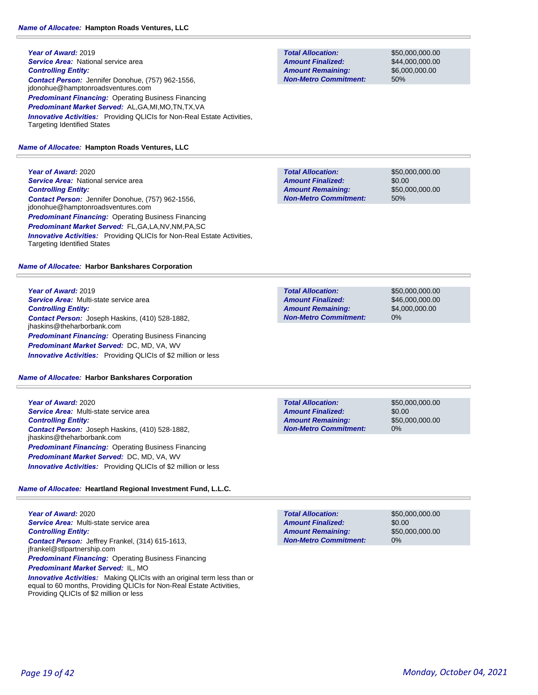**Year of Award:** 2019 **Service Area:** National service area *Controlling Entity: Contact Person:* Jennifer Donohue, (757) 962-1556, jdonohue@hamptonroadsventures.com **Predominant Financing: Operating Business Financing** *Predominant Market Served:* AL,GA,MI,MO,TN,TX,VA *Innovative Activities:* Providing QLICIs for Non-Real Estate Activities, Targeting Identified States

# *Name of Allocatee:* **Hampton Roads Ventures, LLC**

**Year of Award:** 2020 **Service Area:** National service area *Controlling Entity: Contact Person:* Jennifer Donohue, (757) 962-1556, jdonohue@hamptonroadsventures.com *Predominant Financing:* Operating Business Financing *Predominant Market Served:* FL,GA,LA,NV,NM,PA,SC *Innovative Activities:* Providing QLICIs for Non-Real Estate Activities, Targeting Identified States

# *Name of Allocatee:* **Harbor Bankshares Corporation**

**Year of Award:** 2019 *Service Area:* Multi-state service area *Controlling Entity: Contact Person:* Joseph Haskins, (410) 528-1882, jhaskins@theharborbank.com *Predominant Financing: Operating Business Financing Predominant Market Served:* DC, MD, VA, WV *Innovative Activities:* Providing QLICIs of \$2 million or less

# *Name of Allocatee:* **Harbor Bankshares Corporation**

**Year of Award:** 2020 *Service Area:* Multi-state service area *Controlling Entity: Contact Person:* Joseph Haskins, (410) 528-1882, jhaskins@theharborbank.com *Predominant Financing: Operating Business Financing Predominant Market Served:* DC, MD, VA, WV *Innovative Activities:* Providing QLICIs of \$2 million or less

# *Name of Allocatee:* **Heartland Regional Investment Fund, L.L.C.**

**Year of Award:** 2020 *Service Area:* Multi-state service area *Controlling Entity: Contact Person:* Jeffrey Frankel, (314) 615-1613, jfrankel@stlpartnership.com **Predominant Financing: Operating Business Financing** *Predominant Market Served:* IL, MO

*Innovative Activities:* Making QLICIs with an original term less than or equal to 60 months, Providing QLICIs for Non-Real Estate Activities, Providing QLICIs of \$2 million or less

**Total Allocation: Non-Metro Commitment: Amount Remaining: Amount Finalized:**

\$50,000,000.00 \$44,000,000.00 \$6,000,000.00 50%

**Total Allocation: Non-Metro Commitment: Amount Remaining: Amount Finalized:**

\$50,000,000.00 \$0.00 \$50,000,000.00 50%

\$50,000,000.00 \$46,000,000.00 \$4,000,000.00 0% **Total Allocation: Non-Metro Commitment: Amount Remaining: Amount Finalized:**

**Total Allocation: Non-Metro Commitment: Amount Remaining: Amount Finalized:**

\$50,000,000.00 \$0.00 \$50,000,000.00 0%

\$50,000,000.00 \$0.00 \$50,000,000.00 0% **Total Allocation: Non-Metro Commitment: Amount Remaining: Amount Finalized:**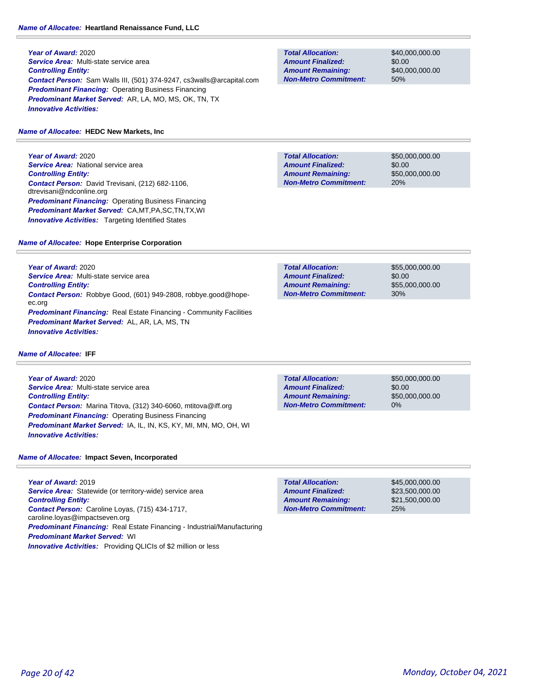# *Name of Allocatee:* **Heartland Renaissance Fund, LLC**

**Year of Award:** 2020 *Service Area:* Multi-state service area *Controlling Entity: Contact Person:* Sam Walls III, (501) 374-9247, cs3walls@arcapital.com **Predominant Financing: Operating Business Financing** *Predominant Market Served:* AR, LA, MO, MS, OK, TN, TX *Innovative Activities:* 

# *Name of Allocatee:* **HEDC New Markets, Inc**

**Year of Award:** 2020 **Service Area:** National service area *Controlling Entity: Contact Person:* David Trevisani, (212) 682-1106, dtrevisani@ndconline.org *Predominant Financing:* Operating Business Financing *Predominant Market Served:* CA,MT,PA,SC,TN,TX,WI **Innovative Activities:** Targeting Identified States

**Non-Metro Commitment: Amount Remaining: Amount Finalized:**

**Total Allocation:**

**Total Allocation: Non-Metro Commitment: Amount Remaining: Amount Finalized:**

\$50,000,000.00 \$0.00 \$50,000,000.00 20%

\$40,000,000.00 \$0.00

\$40,000,000.00

50%

## *Name of Allocatee:* **Hope Enterprise Corporation**

**Year of Award:** 2020 *Service Area:* Multi-state service area *Controlling Entity: Contact Person:* Robbye Good, (601) 949-2808, robbye.good@hopeec.org **Predominant Financing:** Real Estate Financing - Community Facilities *Predominant Market Served:* AL, AR, LA, MS, TN *Innovative Activities:* 

\$55,000,000.00 \$0.00 \$55,000,000.00 30% **Total Allocation: Non-Metro Commitment: Amount Remaining: Amount Finalized:**

*Name of Allocatee:* **IFF**

**Year of Award:** 2020 *Service Area:* Multi-state service area *Controlling Entity: Contact Person:* Marina Titova, (312) 340-6060, mtitova@iff.org *Predominant Financing:* Operating Business Financing *Predominant Market Served:* IA, IL, IN, KS, KY, MI, MN, MO, OH, WI *Innovative Activities:* 

**Non-Metro Commitment: Amount Remaining: Amount Finalized:**

**Total Allocation:**

\$50,000,000.00 \$0.00 \$50,000,000.00 0%

*Name of Allocatee:* **Impact Seven, Incorporated**

**Year of Award:** 2019 **Service Area:** Statewide (or territory-wide) service area *Controlling Entity: Contact Person:* Caroline Loyas, (715) 434-1717, caroline.loyas@impactseven.org *Predominant Financing:* Real Estate Financing - Industrial/Manufacturing *Predominant Market Served:* WI *Innovative Activities:* Providing QLICIs of \$2 million or less

**Total Allocation: Non-Metro Commitment: Amount Remaining: Amount Finalized:**

\$45,000,000.00 \$23,500,000.00 \$21,500,000.00 25%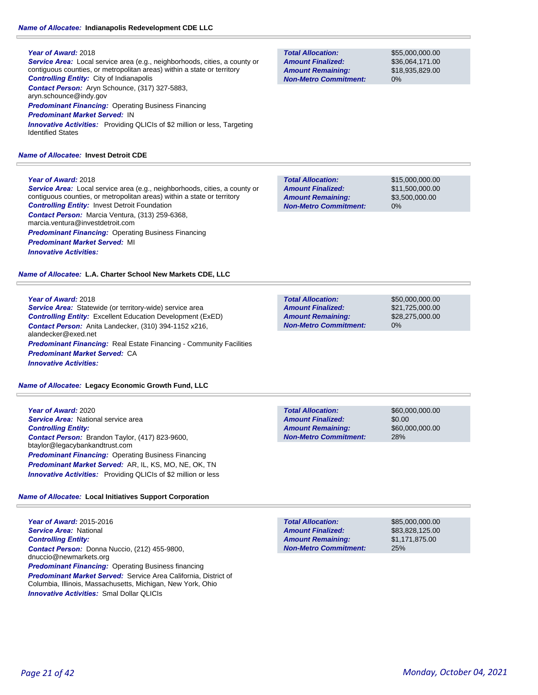# *Name of Allocatee:* **Indianapolis Redevelopment CDE LLC**

## **Year of Award:** 2018

*Service Area:* Local service area (e.g., neighborhoods, cities, a county or contiguous counties, or metropolitan areas) within a state or territory *Controlling Entity:* City of Indianapolis *Contact Person:* Aryn Schounce, (317) 327-5883, aryn.schounce@indy.gov *Predominant Financing:* Operating Business Financing *Predominant Market Served:* IN

*Innovative Activities:* Providing QLICIs of \$2 million or less, Targeting Identified States

## *Name of Allocatee:* **Invest Detroit CDE**

## **Year of Award:** 2018

*Service Area:* Local service area (e.g., neighborhoods, cities, a county or contiguous counties, or metropolitan areas) within a state or territory *Controlling Entity:* Invest Detroit Foundation *Contact Person:* Marcia Ventura, (313) 259-6368, marcia.ventura@investdetroit.com **Predominant Financing: Operating Business Financing** *Predominant Market Served:* MI *Innovative Activities:* 

*Name of Allocatee:* **L.A. Charter School New Markets CDE, LLC**

## **Year of Award:** 2018

*Service Area:* Statewide (or territory-wide) service area *Controlling Entity:* Excellent Education Development (ExED) *Contact Person:* Anita Landecker, (310) 394-1152 x216, alandecker@exed.net **Predominant Financing:** Real Estate Financing - Community Facilities *Predominant Market Served:* CA *Innovative Activities:* 

*Name of Allocatee:* **Legacy Economic Growth Fund, LLC**

**Year of Award:** 2020 **Service Area:** National service area *Controlling Entity: Contact Person:* Brandon Taylor, (417) 823-9600, btaylor@legacybankandtrust.com **Predominant Financing: Operating Business Financing** *Predominant Market Served:* AR, IL, KS, MO, NE, OK, TN **Innovative Activities:** Providing QLICIs of \$2 million or less

# *Name of Allocatee:* **Local Initiatives Support Corporation**

**Year of Award:** 2015-2016 *Service Area:* National *Controlling Entity: Contact Person:* Donna Nuccio, (212) 455-9800, dnuccio@newmarkets.org **Predominant Financing:** Operating Business financing *Predominant Market Served:* Service Area California, District of Columbia, Illinois, Massachusetts, Michigan, New York, Ohio *Innovative Activities:* Smal Dollar QLICIs

| <b>Total Allocation:</b>     |  |
|------------------------------|--|
| <b>Amount Finalized:</b>     |  |
| <b>Amount Remaining:</b>     |  |
| <b>Non-Metro Commitment:</b> |  |

\$55,000,000.00 \$36,064,171.00 \$18,935,829.00 0%

\$15,000,000.00 \$11,500,000.00 \$3,500,000.00 0% **Total Allocation: Non-Metro Commitment: Amount Remaining: Amount Finalized:**

\$50,000,000.00 \$21,725,000.00 \$28,275,000.00 0% **Total Allocation: Non-Metro Commitment: Amount Remaining: Amount Finalized:**

\$60,000,000.00 \$0.00 \$60,000,000.00 28% **Total Allocation: Non-Metro Commitment: Amount Remaining: Amount Finalized:**

\$85,000,000.00 \$83,828,125.00 \$1,171,875.00 25% **Total Allocation: Non-Metro Commitment: Amount Remaining: Amount Finalized:**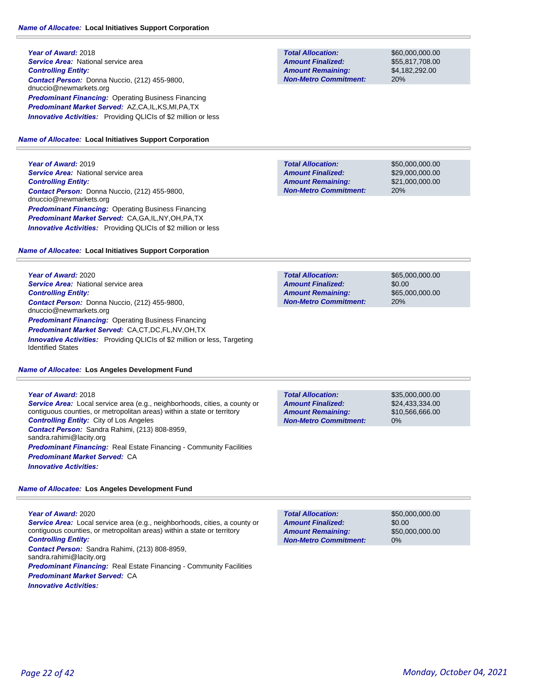**Year of Award:** 2018 **Service Area: National service area** *Controlling Entity: Contact Person:* Donna Nuccio, (212) 455-9800, dnuccio@newmarkets.org **Predominant Financing: Operating Business Financing** *Predominant Market Served:* AZ,CA,IL,KS,MI,PA,TX *Innovative Activities:* Providing QLICIs of \$2 million or less

#### *Name of Allocatee:* **Local Initiatives Support Corporation**

**Year of Award:** 2019 **Service Area: National service area** *Controlling Entity: Contact Person:* Donna Nuccio, (212) 455-9800, dnuccio@newmarkets.org **Predominant Financing: Operating Business Financing** *Predominant Market Served:* CA,GA,IL,NY,OH,PA,TX *Innovative Activities:* Providing QLICIs of \$2 million or less

#### *Name of Allocatee:* **Local Initiatives Support Corporation**

**Year of Award:** 2020 **Service Area:** National service area *Controlling Entity: Contact Person:* Donna Nuccio, (212) 455-9800, dnuccio@newmarkets.org *Predominant Financing: Operating Business Financing Predominant Market Served:* CA,CT,DC,FL,NV,OH,TX **Innovative Activities:** Providing QLICIs of \$2 million or less, Targeting Identified States

#### *Name of Allocatee:* **Los Angeles Development Fund**

**Year of Award:** 2018 *Service Area:* Local service area (e.g., neighborhoods, cities, a county or contiguous counties, or metropolitan areas) within a state or territory *Controlling Entity:* City of Los Angeles *Contact Person:* Sandra Rahimi, (213) 808-8959, sandra.rahimi@lacity.org **Predominant Financing:** Real Estate Financing - Community Facilities *Predominant Market Served:* CA *Innovative Activities:* 

*Name of Allocatee:* **Los Angeles Development Fund**

## **Year of Award:** 2020 *Service Area:* Local service area (e.g., neighborhoods, cities, a county or contiguous counties, or metropolitan areas) within a state or territory *Controlling Entity:*

*Contact Person:* Sandra Rahimi, (213) 808-8959,

sandra.rahimi@lacity.org

*Predominant Financing:* Real Estate Financing - Community Facilities *Predominant Market Served:* CA

*Innovative Activities:* 

**Total Allocation: Non-Metro Commitment: Amount Remaining: Amount Finalized:**

\$60,000,000.00 \$55,817,708.00 \$4,182,292.00 20%

\$50,000,000.00 \$29,000,000.00 \$21,000,000.00 20% **Total Allocation: Non-Metro Commitment: Amount Remaining: Amount Finalized:**

**Total Allocation: Non-Metro Commitment: Amount Remaining: Amount Finalized:**

\$65,000,000.00 \$0.00 \$65,000,000.00 20%

0% **Total Allocation: Non-Metro Commitment: Amount Remaining: Amount Finalized:**

\$35,000,000.00 \$24,433,334.00 \$10,566,666.00

\$50,000,000.00 \$0.00 \$50,000,000.00 0% **Total Allocation: Non-Metro Commitment: Amount Remaining: Amount Finalized:**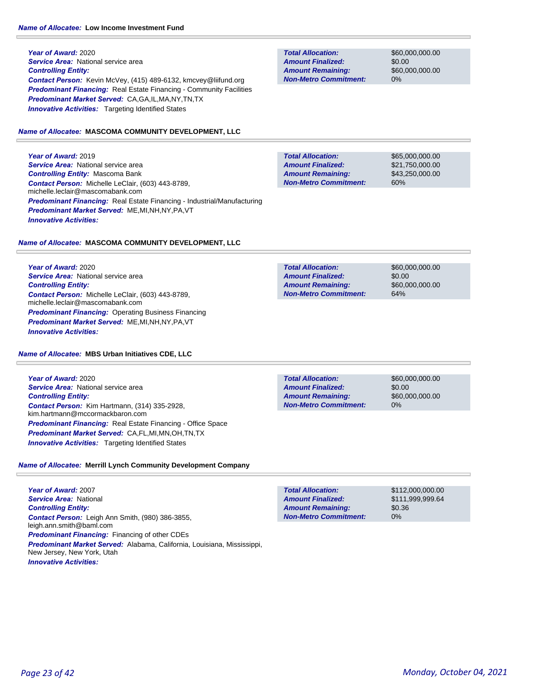**Year of Award:** 2020 **Service Area:** National service area *Controlling Entity: Contact Person:* Kevin McVey, (415) 489-6132, kmcvey@liifund.org **Predominant Financing:** Real Estate Financing - Community Facilities *Predominant Market Served:* CA,GA,IL,MA,NY,TN,TX **Innovative Activities:** Targeting Identified States

#### *Name of Allocatee:* **MASCOMA COMMUNITY DEVELOPMENT, LLC**

**Year of Award:** 2019 **Service Area:** National service area *Controlling Entity:* Mascoma Bank *Contact Person:* Michelle LeClair, (603) 443-8789, michelle.leclair@mascomabank.com *Predominant Financing:* Real Estate Financing - Industrial/Manufacturing *Predominant Market Served:* ME,MI,NH,NY,PA,VT *Innovative Activities:* 

*Name of Allocatee:* **MASCOMA COMMUNITY DEVELOPMENT, LLC**

**Year of Award:** 2020 *Service Area:* National service area *Controlling Entity: Contact Person:* Michelle LeClair, (603) 443-8789, michelle.leclair@mascomabank.com **Predominant Financing: Operating Business Financing** *Predominant Market Served:* ME,MI,NH,NY,PA,VT *Innovative Activities:* 

#### *Name of Allocatee:* **MBS Urban Initiatives CDE, LLC**

**Year of Award:** 2020 **Service Area:** National service area *Controlling Entity: Contact Person:* Kim Hartmann, (314) 335-2928, kim.hartmann@mccormackbaron.com *Predominant Financing:* Real Estate Financing - Office Space *Predominant Market Served:* CA,FL,MI,MN,OH,TN,TX *Innovative Activities:* Targeting Identified States

# *Name of Allocatee:* **Merrill Lynch Community Development Company**

**Year of Award:** 2007 *Service Area:* National *Controlling Entity: Contact Person:* Leigh Ann Smith, (980) 386-3855, leigh.ann.smith@baml.com *Predominant Financing:* Financing of other CDEs *Predominant Market Served:* Alabama, California, Louisiana, Mississippi, New Jersey, New York, Utah *Innovative Activities:* 

**Total Allocation: Non-Metro Commitment: Amount Remaining: Amount Finalized:**

\$60,000,000.00 \$0.00 \$60,000,000.00 0%

**Total Allocation: Non-Metro Commitment: Amount Remaining: Amount Finalized:**

\$65,000,000.00 \$21,750,000.00 \$43,250,000.00 60%

\$60,000,000.00 \$0.00 \$60,000,000.00 64% **Total Allocation: Non-Metro Commitment: Amount Remaining: Amount Finalized:**

**Total Allocation: Non-Metro Commitment: Amount Remaining: Amount Finalized:**

\$60,000,000.00 \$0.00 \$60,000,000.00 0%

\$112,000,000.00 \$111,999,999.64 \$0.36 0% **Total Allocation: Non-Metro Commitment: Amount Remaining: Amount Finalized:**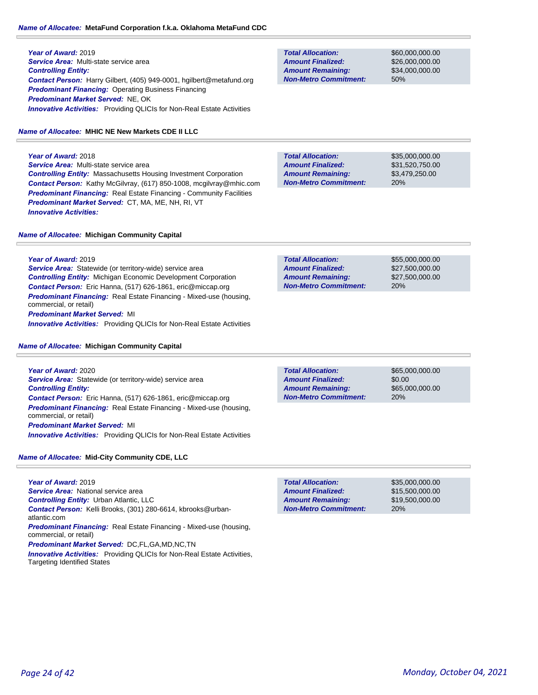## *Name of Allocatee:* **MetaFund Corporation f.k.a. Oklahoma MetaFund CDC**

**Year of Award:** 2019 *Service Area:* Multi-state service area *Controlling Entity: Contact Person:* Harry Gilbert, (405) 949-0001, hgilbert@metafund.org *Predominant Financing:* Operating Business Financing *Predominant Market Served:* NE, OK **Innovative Activities:** Providing QLICIs for Non-Real Estate Activities

# *Name of Allocatee:* **MHIC NE New Markets CDE II LLC**

**Year of Award:** 2018 *Service Area:* Multi-state service area *Controlling Entity:* Massachusetts Housing Investment Corporation *Contact Person:* Kathy McGilvray, (617) 850-1008, mcgilvray@mhic.com *Predominant Financing:* Real Estate Financing - Community Facilities *Predominant Market Served:* CT, MA, ME, NH, RI, VT *Innovative Activities:* 

**Total Allocation: Non-Metro Commitment: Amount Remaining: Amount Finalized:**

\$60,000,000.00 \$26,000,000.00 \$34,000,000.00 50%

**Total Allocation: Non-Metro Commitment: Amount Remaining: Amount Finalized:**

\$35,000,000.00 \$31,520,750.00 \$3,479,250.00 20%

*Name of Allocatee:* **Michigan Community Capital**

**Year of Award:** 2019

*Service Area:* Statewide (or territory-wide) service area *Controlling Entity:* Michigan Economic Development Corporation *Contact Person:* Eric Hanna, (517) 626-1861, eric@miccap.org *Predominant Financing:* Real Estate Financing - Mixed-use (housing, commercial, or retail) *Predominant Market Served:* MI

*Innovative Activities:* Providing QLICIs for Non-Real Estate Activities

## *Name of Allocatee:* **Michigan Community Capital**

**Year of Award:** 2020 *Service Area:* Statewide (or territory-wide) service area *Controlling Entity: Contact Person:* Eric Hanna, (517) 626-1861, eric@miccap.org *Predominant Financing:* Real Estate Financing - Mixed-use (housing, commercial, or retail) *Predominant Market Served:* MI *Innovative Activities:* Providing QLICIs for Non-Real Estate Activities

*Name of Allocatee:* **Mid-City Community CDE, LLC**

| Year of Award: 2019                                                                                 |
|-----------------------------------------------------------------------------------------------------|
| <b>Service Area:</b> National service area                                                          |
| <b>Controlling Entity:</b> Urban Atlantic, LLC                                                      |
| <b>Contact Person:</b> Kelli Brooks, (301) 280-6614, kbrooks@urban-<br>atlantic.com                 |
| <b>Predominant Financing:</b> Real Estate Financing - Mixed-use (housing,<br>commercial, or retail) |
| Predominant Market Served: DC,FL,GA,MD,NC,TN                                                        |
| <b>Innovative Activities:</b> Providing QLICIs for Non-Real Estate Activities,                      |

Targeting Identified States

| <b>Total Allocation:</b>     | \$55,000,000,00 |
|------------------------------|-----------------|
| <b>Amount Finalized:</b>     | \$27,500,000,00 |
| <b>Amount Remaining:</b>     | \$27,500,000,00 |
| <b>Non-Metro Commitment:</b> | 20%             |

\$0.00 20% **Total Allocation: Non-Metro Commitment: Amount Remaining: Amount Finalized:**

\$65,000,000.00 \$65,000,000.00

**Total Allocation: Non-Metro Commitment: Amount Remaining: Amount Finalized:**

\$35,000,000.00 \$15,500,000.00 \$19,500,000.00 20%

atla

com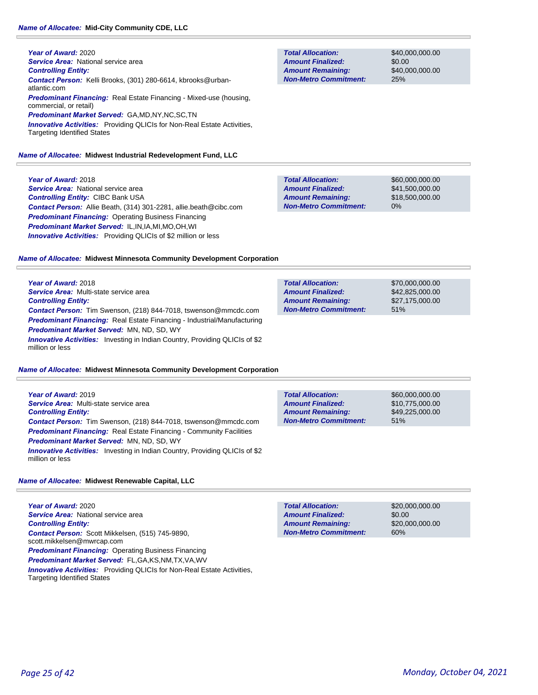#### *Name of Allocatee:* **Mid-City Community CDE, LLC**

**Year of Award:** 2020 **Service Area: National service area** *Controlling Entity: Contact Person:* Kelli Brooks, (301) 280-6614, kbrooks@urbanatlantic.com *Predominant Financing:* Real Estate Financing - Mixed-use (housing, commercial, or retail) *Predominant Market Served:* GA,MD,NY,NC,SC,TN **Innovative Activities:** Providing QLICIs for Non-Real Estate Activities, Targeting Identified States

## *Name of Allocatee:* **Midwest Industrial Redevelopment Fund, LLC**

**Year of Award:** 2018 **Service Area:** National service area *Controlling Entity:* CIBC Bank USA *Contact Person:* Allie Beath, (314) 301-2281, allie.beath@cibc.com *Predominant Financing:* Operating Business Financing *Predominant Market Served:* IL,IN,IA,MI,MO,OH,WI **Innovative Activities:** Providing QLICIs of \$2 million or less

**Total Allocation: Non-Metro Commitment: Amount Remaining: Amount Finalized:**

**Total Allocation:**

**Non-Metro Commitment: Amount Remaining: Amount Finalized:**

\$40,000,000.00 \$0.00 \$40,000,000.00 25%

\$70,000,000.00 \$42,825,000.00 \$27,175,000.00

51%

\$60,000,000.00 \$41,500,000.00 \$18,500,000.00 0% **Total Allocation: Non-Metro Commitment: Amount Remaining: Amount Finalized:**

## *Name of Allocatee:* **Midwest Minnesota Community Development Corporation**

**Year of Award:** 2018 *Service Area:* Multi-state service area *Controlling Entity: Contact Person:* Tim Swenson, (218) 844-7018, tswenson@mmcdc.com *Predominant Financing:* Real Estate Financing - Industrial/Manufacturing *Predominant Market Served:* MN, ND, SD, WY **Innovative Activities:** Investing in Indian Country, Providing QLICIs of \$2 million or less

## *Name of Allocatee:* **Midwest Minnesota Community Development Corporation**

| Year of Award: 2019                                                                                   |
|-------------------------------------------------------------------------------------------------------|
| Service Area: Multi-state service area                                                                |
| <b>Controlling Entity:</b>                                                                            |
| <b>Contact Person:</b> Tim Swenson, (218) 844-7018, tswenson@mmcdc.com                                |
| <b>Predominant Financing:</b> Real Estate Financing - Community Facilities                            |
| <b>Predominant Market Served: MN, ND, SD, WY</b>                                                      |
| <b>Innovative Activities:</b> Investing in Indian Country, Providing QLICIs of \$2<br>million or less |

### *Name of Allocatee:* **Midwest Renewable Capital, LLC**

**Year of Award:** 2020 **Service Area:** National service area *Controlling Entity: Contact Person:* Scott Mikkelsen, (515) 745-9890, scott.mikkelsen@mwrcap.com **Predominant Financing:** Operating Business Financing *Predominant Market Served:* FL,GA,KS,NM,TX,VA,WV *Innovative Activities:* Providing QLICIs for Non-Real Estate Activities, Targeting Identified States

| <b>Total Allocation:</b>     | \$60,000,000,00 |
|------------------------------|-----------------|
| <b>Amount Finalized:</b>     | \$10.775.000.00 |
| <b>Amount Remaining:</b>     | \$49,225,000.00 |
| <b>Non-Metro Commitment:</b> | 51%             |

| <b>Total Allocation:</b>     | \$20,000,000,00 |
|------------------------------|-----------------|
| <b>Amount Finalized:</b>     | \$0.00          |
| <b>Amount Remaining:</b>     | \$20,000,000,00 |
| <b>Non-Metro Commitment:</b> | 60%             |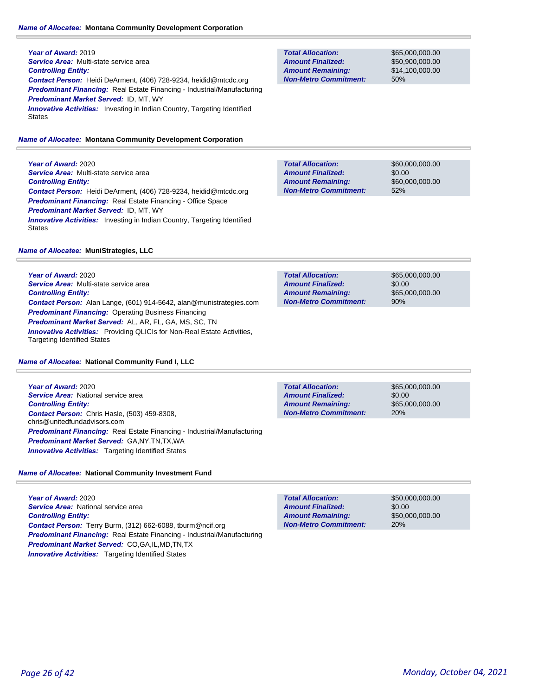#### *Name of Allocatee:* **Montana Community Development Corporation**

**Year of Award:** 2019 *Service Area:* Multi-state service area *Controlling Entity: Contact Person:* Heidi DeArment, (406) 728-9234, heidid@mtcdc.org *Predominant Financing:* Real Estate Financing - Industrial/Manufacturing *Predominant Market Served:* ID, MT, WY **Innovative Activities:** Investing in Indian Country, Targeting Identified **States** 

## *Name of Allocatee:* **Montana Community Development Corporation**

**Year of Award:** 2020 *Service Area:* Multi-state service area *Controlling Entity: Contact Person:* Heidi DeArment, (406) 728-9234, heidid@mtcdc.org *Predominant Financing:* Real Estate Financing - Office Space *Predominant Market Served:* ID, MT, WY **Innovative Activities:** Investing in Indian Country, Targeting Identified **States** 

## *Name of Allocatee:* **MuniStrategies, LLC**

**Year of Award:** 2020 *Service Area:* Multi-state service area *Controlling Entity: Contact Person:* Alan Lange, (601) 914-5642, alan@munistrategies.com *Predominant Financing:* Operating Business Financing *Predominant Market Served:* AL, AR, FL, GA, MS, SC, TN *Innovative Activities:* Providing QLICIs for Non-Real Estate Activities, Targeting Identified States

## *Name of Allocatee:* **National Community Fund I, LLC**

**Year of Award:** 2020 *Service Area:* National service area *Controlling Entity: Contact Person:* Chris Hasle, (503) 459-8308, chris@unitedfundadvisors.com *Predominant Financing:* Real Estate Financing - Industrial/Manufacturing *Predominant Market Served:* GA,NY,TN,TX,WA **Innovative Activities:** Targeting Identified States

**Total Allocation: Non-Metro Commitment: Amount Remaining: Amount Finalized:**

\$65,000,000.00 \$0.00 \$65,000,000.00 20%

*Name of Allocatee:* **National Community Investment Fund**

**Year of Award:** 2020 **Service Area:** National service area *Controlling Entity: Contact Person:* Terry Burm, (312) 662-6088, tburm@ncif.org *Predominant Financing:* Real Estate Financing - Industrial/Manufacturing *Predominant Market Served:* CO,GA,IL,MD,TN,TX **Innovative Activities:** Targeting Identified States

**Total Allocation: Non-Metro Commitment: Amount Remaining: Amount Finalized:**

\$65,000,000.00 \$50,900,000.00 \$14,100,000.00 50%

\$60,000,000.00 \$0.00 \$60,000,000.00 52% **Total Allocation: Non-Metro Commitment: Amount Remaining: Amount Finalized:**

\$65,000,000.00 **Total Allocation:**

**Non-Metro Commitment: Amount Remaining: Amount Finalized:**

\$0.00 \$65,000,000.00 90%

\$50,000,000.00 \$0.00 \$50,000,000.00 20% **Total Allocation: Non-Metro Commitment: Amount Remaining: Amount Finalized:**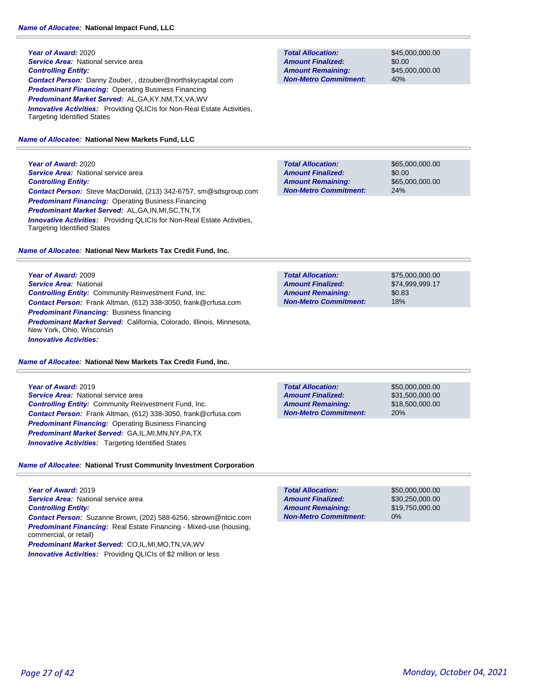**Year of Award:** 2020 **Service Area: National service area** *Controlling Entity: Contact Person:* Danny Zouber, , dzouber@northskycapital.com *Predominant Financing:* Operating Business Financing *Predominant Market Served:* AL,GA,KY,NM,TX,VA,WV **Innovative Activities:** Providing QLICIs for Non-Real Estate Activities, Targeting Identified States

#### *Name of Allocatee:* **National New Markets Fund, LLC**

**Year of Award:** 2020 **Service Area: National service area** *Controlling Entity: Contact Person:* Steve MacDonald, (213) 342-6757, sm@sdsgroup.com *Predominant Financing:* Operating Business Financing *Predominant Market Served:* AL,GA,IN,MI,SC,TN,TX **Innovative Activities:** Providing QLICIs for Non-Real Estate Activities, Targeting Identified States

*Name of Allocatee:* **National New Markets Tax Credit Fund, Inc.**

**Year of Award:** 2009 *Service Area:* National *Controlling Entity:* Community Reinvestment Fund, Inc. *Contact Person:* Frank Altman, (612) 338-3050, frank@crfusa.com *Predominant Financing:* Business financing *Predominant Market Served:* California, Colorado, Illinois, Minnesota, New York, Ohio, Wisconsin *Innovative Activities:* 

*Name of Allocatee:* **National New Markets Tax Credit Fund, Inc.**

# **Year of Award:** 2019 **Service Area:** National service area *Controlling Entity:* Community Reinvestment Fund, Inc. *Contact Person:* Frank Altman, (612) 338-3050, frank@crfusa.com *Predominant Financing:* Operating Business Financing *Predominant Market Served:* GA,IL,MI,MN,NY,PA,TX *Innovative Activities:* Targeting Identified States

# *Name of Allocatee:* **National Trust Community Investment Corporation**

**Year of Award:** 2019 *Service Area:* National service area *Controlling Entity: Contact Person:* Suzanne Brown, (202) 588-6256, sbrown@ntcic.com *Predominant Financing:* Real Estate Financing - Mixed-use (housing, commercial, or retail) *Predominant Market Served:* CO,IL,MI,MO,TN,VA,WV

*Innovative Activities:* Providing QLICIs of \$2 million or less

**Total Allocation: Non-Metro Commitment: Amount Remaining: Amount Finalized:**

\$45,000,000.00 \$0.00 \$45,000,000.00 40%

\$65,000,000.00 \$0.00 \$65,000,000.00 24% **Total Allocation: Non-Metro Commitment: Amount Remaining: Amount Finalized:**

\$75,000,000.00 \$74,999,999.17 \$0.83 18% **Total Allocation: Non-Metro Commitment: Amount Remaining: Amount Finalized:**

**Total Allocation: Non-Metro Commitment: Amount Remaining: Amount Finalized:**

\$50,000,000.00 \$31,500,000.00 \$18,500,000.00 20%

\$50,000,000.00 \$30,250,000.00 \$19,750,000.00 0% **Total Allocation: Non-Metro Commitment: Amount Remaining: Amount Finalized:**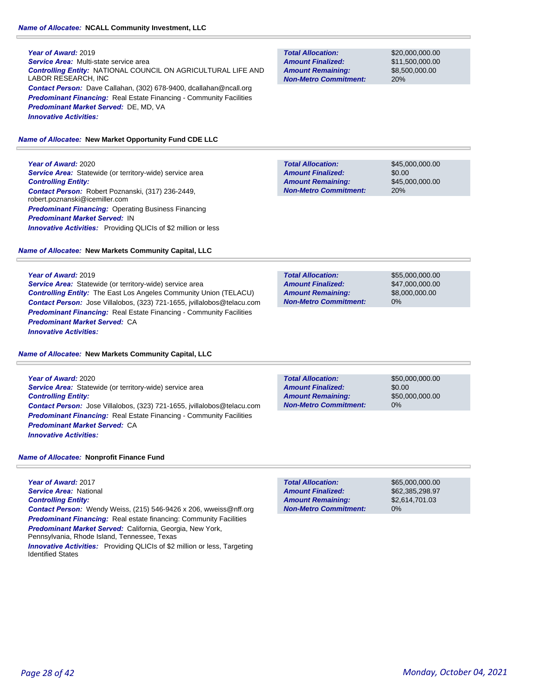#### **Year of Award:** 2019

*Service Area:* Multi-state service area *Controlling Entity:* NATIONAL COUNCIL ON AGRICULTURAL LIFE AND LABOR RESEARCH, INC *Contact Person:* Dave Callahan, (302) 678-9400, dcallahan@ncall.org **Predominant Financing:** Real Estate Financing - Community Facilities *Predominant Market Served:* DE, MD, VA *Innovative Activities:* 

#### *Name of Allocatee:* **New Market Opportunity Fund CDE LLC**

**Year of Award:** 2020

**Service Area:** Statewide (or territory-wide) service area *Controlling Entity: Contact Person:* Robert Poznanski, (317) 236-2449, robert.poznanski@icemiller.com **Predominant Financing: Operating Business Financing** *Predominant Market Served:* IN *Innovative Activities:* Providing QLICIs of \$2 million or less

#### *Name of Allocatee:* **New Markets Community Capital, LLC**

**Year of Award:** 2019

*Service Area:* Statewide (or territory-wide) service area *Controlling Entity:* The East Los Angeles Community Union (TELACU) *Contact Person:* Jose Villalobos, (323) 721-1655, jvillalobos@telacu.com **Predominant Financing:** Real Estate Financing - Community Facilities *Predominant Market Served:* CA *Innovative Activities:* 

#### *Name of Allocatee:* **New Markets Community Capital, LLC**

**Year of Award:** 2020 *Service Area:* Statewide (or territory-wide) service area *Controlling Entity: Contact Person:* Jose Villalobos, (323) 721-1655, jvillalobos@telacu.com **Predominant Financing:** Real Estate Financing - Community Facilities *Predominant Market Served:* CA *Innovative Activities:* 

**Total Allocation: Non-Metro Commitment: Amount Remaining: Amount Finalized:**

\$50,000,000.00 \$0.00 \$50,000,000.00 0%

*Name of Allocatee:* **Nonprofit Finance Fund**

**Year of Award:** 2017 *Service Area:* National *Controlling Entity: Contact Person:* Wendy Weiss, (215) 546-9426 x 206, wweiss@nff.org **Predominant Financing:** Real estate financing: Community Facilities *Predominant Market Served: California, Georgia, New York,* Pennsylvania, Rhode Island, Tennessee, Texas

*Innovative Activities:* Providing QLICIs of \$2 million or less, Targeting Identified States

**Total Allocation: Non-Metro Commitment: Amount Remaining: Amount Finalized:**

\$20,000,000.00 \$11,500,000.00 \$8,500,000.00 20%

\$45,000,000.00 \$0.00 \$45,000,000.00 20% **Total Allocation: Non-Metro Commitment: Amount Remaining: Amount Finalized:**

**Total Allocation: Non-Metro Commitment: Amount Remaining: Amount Finalized:**

\$55,000,000.00 \$47,000,000.00 \$8,000,000.00 0%

**Total Allocation: Amount Remaining: Amount Finalized:**

**Non-Metro Commitment:**

\$65,000,000.00 \$62,385,298.97 \$2,614,701.03 0%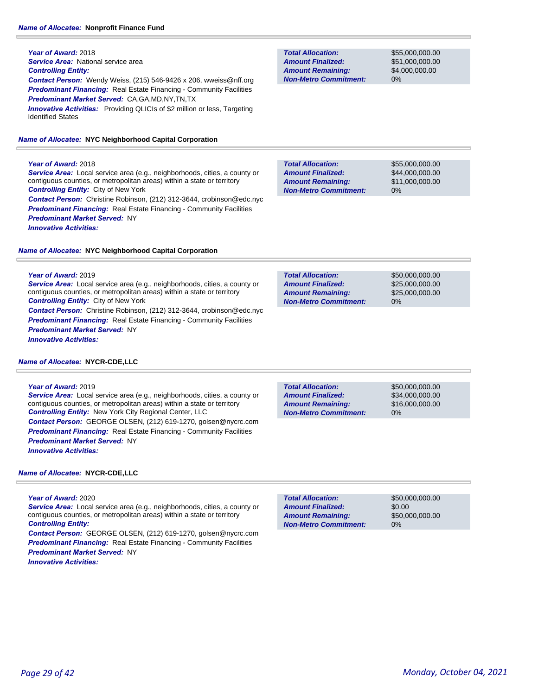#### **Year of Award:** 2018

**Service Area: National service area** 

# *Controlling Entity:*

*Contact Person:* Wendy Weiss, (215) 546-9426 x 206, wweiss@nff.org *Predominant Financing:* Real Estate Financing - Community Facilities *Predominant Market Served:* CA,GA,MD,NY,TN,TX **Innovative Activities:** Providing QLICIs of \$2 million or less, Targeting

Identified States

#### *Name of Allocatee:* **NYC Neighborhood Capital Corporation**

# **Year of Award:** 2018

*Service Area:* Local service area (e.g., neighborhoods, cities, a county or contiguous counties, or metropolitan areas) within a state or territory *Controlling Entity:* City of New York *Contact Person:* Christine Robinson, (212) 312-3644, crobinson@edc.nyc

**Predominant Financing:** Real Estate Financing - Community Facilities *Predominant Market Served:* NY *Innovative Activities:* 

## *Name of Allocatee:* **NYC Neighborhood Capital Corporation**

#### **Year of Award:** 2019

*Service Area:* Local service area (e.g., neighborhoods, cities, a county or contiguous counties, or metropolitan areas) within a state or territory *Controlling Entity:* City of New York *Contact Person:* Christine Robinson, (212) 312-3644, crobinson@edc.nyc

**Predominant Financing:** Real Estate Financing - Community Facilities *Predominant Market Served:* NY *Innovative Activities:* 

## *Name of Allocatee:* **NYCR-CDE,LLC**

## **Year of Award:** 2019

*Service Area:* Local service area (e.g., neighborhoods, cities, a county or contiguous counties, or metropolitan areas) within a state or territory *Controlling Entity:* New York City Regional Center, LLC *Contact Person:* GEORGE OLSEN, (212) 619-1270, golsen@nycrc.com **Predominant Financing:** Real Estate Financing - Community Facilities *Predominant Market Served:* NY *Innovative Activities:* 

## *Name of Allocatee:* **NYCR-CDE,LLC**

#### **Year of Award:** 2020

*Service Area:* Local service area (e.g., neighborhoods, cities, a county or contiguous counties, or metropolitan areas) within a state or territory *Controlling Entity:* 

*Contact Person:* GEORGE OLSEN, (212) 619-1270, golsen@nycrc.com **Predominant Financing:** Real Estate Financing - Community Facilities *Predominant Market Served:* NY *Innovative Activities:* 

**Total Allocation: Non-Metro Commitment: Amount Remaining: Amount Finalized:**

\$55,000,000.00 \$51,000,000.00 \$4,000,000.00 0%

\$55,000,000.00 \$44,000,000.00 \$11,000,000.00 0% **Total Allocation: Non-Metro Commitment: Amount Remaining: Amount Finalized:**

**Total Allocation: Non-Metro Commitment: Amount Remaining: Amount Finalized:**

\$50,000,000.00 \$25,000,000.00 \$25,000,000.00 0%

**Total Allocation: Non-Metro Commitment: Amount Remaining: Amount Finalized:**

\$50,000,000.00 \$34,000,000.00 \$16,000,000.00 0%

\$50,000,000.00 \$0.00 \$50,000,000.00 0% **Total Allocation: Non-Metro Commitment: Amount Remaining: Amount Finalized:**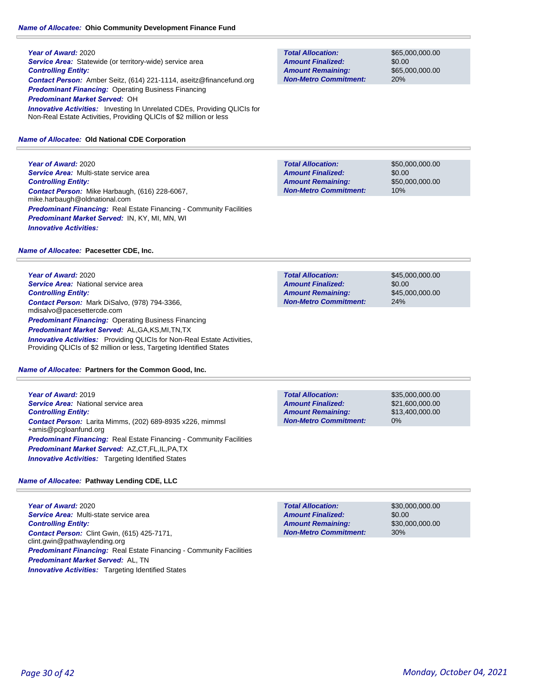**Year of Award:** 2020 **Service Area:** Statewide (or territory-wide) service area *Controlling Entity: Contact Person:* Amber Seitz, (614) 221-1114, aseitz@financefund.org *Predominant Financing:* Operating Business Financing *Predominant Market Served:* OH **Innovative Activities:** Investing In Unrelated CDEs, Providing QLICIs for Non-Real Estate Activities, Providing QLICIs of \$2 million or less

## *Name of Allocatee:* **Old National CDE Corporation**

**Year of Award:** 2020 *Service Area:* Multi-state service area *Controlling Entity: Contact Person:* Mike Harbaugh, (616) 228-6067, mike.harbaugh@oldnational.com **Predominant Financing:** Real Estate Financing - Community Facilities *Predominant Market Served:* IN, KY, MI, MN, WI *Innovative Activities:* 

# *Name of Allocatee:* **Pacesetter CDE, Inc.**

**Year of Award:** 2020 **Service Area:** National service area *Controlling Entity: Contact Person:* Mark DiSalvo, (978) 794-3366, mdisalvo@pacesettercde.com *Predominant Financing: Operating Business Financing Predominant Market Served:* AL,GA,KS,MI,TN,TX **Innovative Activities:** Providing QLICIs for Non-Real Estate Activities, Providing QLICIs of \$2 million or less, Targeting Identified States

#### *Name of Allocatee:* **Partners for the Common Good, Inc.**

**Year of Award:** 2019 *Service Area:* National service area *Controlling Entity: Contact Person:* Larita Mimms, (202) 689-8935 x226, mimmsl +amis@pcgloanfund.org **Predominant Financing:** Real Estate Financing - Community Facilities *Predominant Market Served:* AZ,CT,FL,IL,PA,TX *Innovative Activities:* Targeting Identified States

# *Name of Allocatee:* **Pathway Lending CDE, LLC**

**Year of Award:** 2020 *Service Area:* Multi-state service area *Controlling Entity: Contact Person:* Clint Gwin, (615) 425-7171, clint.gwin@pathwaylending.org **Predominant Financing:** Real Estate Financing - Community Facilities *Predominant Market Served:* AL, TN **Innovative Activities:** Targeting Identified States

**Total Allocation: Non-Metro Commitment: Amount Remaining: Amount Finalized:**

\$65,000,000.00 \$0.00 \$65,000,000.00 20%

\$50,000,000.00 \$0.00 \$50,000,000.00 10% **Total Allocation: Non-Metro Commitment: Amount Remaining: Amount Finalized:**

\$45,000,000.00 \$0.00 \$45,000,000.00 24% **Total Allocation: Non-Metro Commitment: Amount Remaining: Amount Finalized:**

\$35,000,000.00 \$21,600,000.00 \$13,400,000.00 0% **Total Allocation: Non-Metro Commitment: Amount Remaining: Amount Finalized:**

\$30,000,000.00 \$0.00 \$30,000,000.00 30% **Total Allocation: Non-Metro Commitment: Amount Remaining: Amount Finalized:**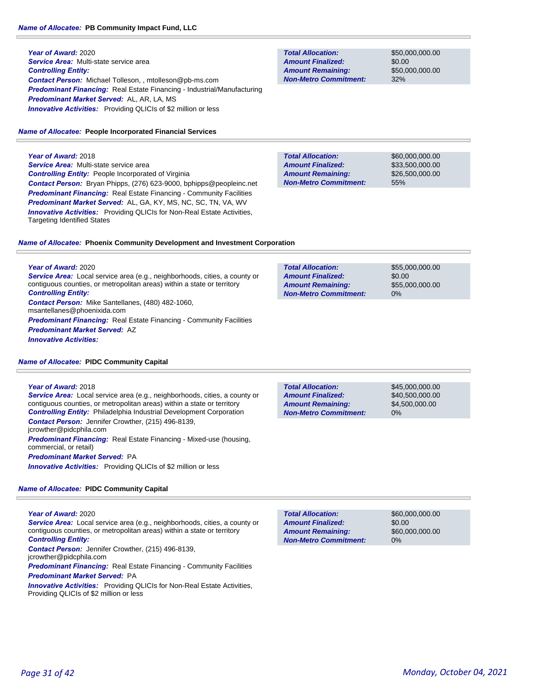**Year of Award:** 2020 *Service Area:* Multi-state service area *Controlling Entity: Contact Person:* Michael Tolleson, , mtolleson@pb-ms.com *Predominant Financing:* Real Estate Financing - Industrial/Manufacturing *Predominant Market Served:* AL, AR, LA, MS **Innovative Activities:** Providing QLICIs of \$2 million or less

## *Name of Allocatee:* **People Incorporated Financial Services**

**Year of Award:** 2018 *Service Area:* Multi-state service area *Controlling Entity:* People Incorporated of Virginia *Contact Person:* Bryan Phipps, (276) 623-9000, bphipps@peopleinc.net *Predominant Financing:* Real Estate Financing - Community Facilities *Predominant Market Served:* AL, GA, KY, MS, NC, SC, TN, VA, WV **Innovative Activities:** Providing QLICIs for Non-Real Estate Activities, Targeting Identified States

**Total Allocation: Non-Metro Commitment: Amount Remaining: Amount Finalized:**

\$50,000,000.00 \$0.00 \$50,000,000.00 32%

**Total Allocation: Non-Metro Commitment: Amount Remaining: Amount Finalized:**

**Total Allocation:**

**Non-Metro Commitment: Amount Remaining: Amount Finalized:**

\$60,000,000.00 \$33,500,000.00 \$26,500,000.00 55%

\$55,000,000.00

\$55,000,000.00

\$0.00

0%

# *Name of Allocatee:* **Phoenix Community Development and Investment Corporation**

**Year of Award:** 2020 *Service Area:* Local service area (e.g., neighborhoods, cities, a county or contiguous counties, or metropolitan areas) within a state or territory *Controlling Entity: Contact Person:* Mike Santellanes, (480) 482-1060, msantellanes@phoenixida.com **Predominant Financing:** Real Estate Financing - Community Facilities *Predominant Market Served:* AZ *Innovative Activities:* 

#### *Name of Allocatee:* **PIDC Community Capital**

#### **Year of Award:** 2018

*Service Area:* Local service area (e.g., neighborhoods, cities, a county or contiguous counties, or metropolitan areas) within a state or territory **Controlling Entity:** Philadelphia Industrial Development Corporation *Contact Person:* Jennifer Crowther, (215) 496-8139, jcrowther@pidcphila.com *Predominant Financing:* Real Estate Financing - Mixed-use (housing, commercial, or retail) *Predominant Market Served:* PA *Innovative Activities:* Providing QLICIs of \$2 million or less

## *Name of Allocatee:* **PIDC Community Capital**

#### **Year of Award:** 2020

*Service Area:* Local service area (e.g., neighborhoods, cities, a county or contiguous counties, or metropolitan areas) within a state or territory *Controlling Entity:* 

*Contact Person:* Jennifer Crowther, (215) 496-8139,

jcrowther@pidcphila.com

**Predominant Financing:** Real Estate Financing - Community Facilities *Predominant Market Served:* PA

**Innovative Activities:** Providing QLICIs for Non-Real Estate Activities, Providing QLICIs of \$2 million or less

| <b>Total Allocation:</b>     |
|------------------------------|
| <b>Amount Finalized:</b>     |
| <b>Amount Remaining:</b>     |
| <b>Non-Metro Commitment:</b> |

\$45,000,000.00 \$40,500,000.00 \$4,500,000.00 0%

\$60,000,000.00 \$0.00 \$60,000,000.00 0% **Total Allocation: Non-Metro Commitment: Amount Remaining: Amount Finalized:**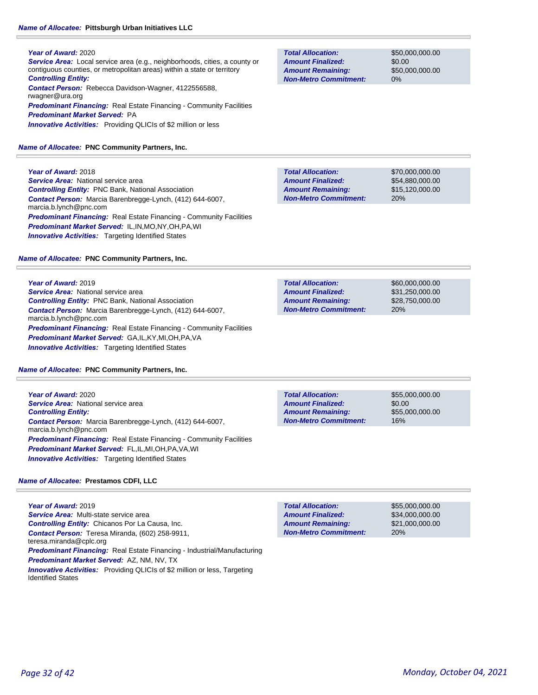# *Name of Allocatee:* **Pittsburgh Urban Initiatives LLC**

## **Year of Award:** 2020 *Service Area:* Local service area (e.g., neighborhoods, cities, a county or contiguous counties, or metropolitan areas) within a state or territory *Controlling Entity: Contact Person:* Rebecca Davidson-Wagner, 4122556588, rwagner@ura.org **Predominant Financing:** Real Estate Financing - Community Facilities *Predominant Market Served:* PA **Innovative Activities:** Providing QLICIs of \$2 million or less

# *Name of Allocatee:* **PNC Community Partners, Inc.**

*Controlling Entity:* PNC Bank, National Association

*Contact Person:* Marcia Barenbregge-Lynch, (412) 644-6007,

**Service Area: National service area** 

**Year of Award:** 2018

marcia.b.lynch@pnc.com

**Total Allocation: Non-Metro Commitment: Amount Remaining: Amount Finalized:**

\$50,000,000.00 \$0.00 \$50,000,000.00 0%

**Total Allocation: Non-Metro Commitment: Amount Remaining: Amount Finalized:**

**Total Allocation:**

**Amount Remaining: Amount Finalized:**

\$70,000,000.00 \$54,880,000.00 \$15,120,000.00 20%

\$60,000,000.00 \$31,250,000.00 \$28,750,000.00

**Predominant Financing:** Real Estate Financing - Community Facilities *Predominant Market Served:* IL,IN,MO,NY,OH,PA,WI **Innovative Activities:** Targeting Identified States *Name of Allocatee:* **PNC Community Partners, Inc.**

**Year of Award:** 2019 **Service Area:** National service area *Controlling Entity:* PNC Bank, National Association *Contact Person:* Marcia Barenbregge-Lynch, (412) 644-6007, marcia.b.lynch@pnc.com *Predominant Financing:* Real Estate Financing - Community Facilities *Predominant Market Served:* GA,IL,KY,MI,OH,PA,VA *Innovative Activities:* Targeting Identified States

## *Name of Allocatee:* **PNC Community Partners, Inc.**

**Year of Award:** 2020 *Service Area:* National service area *Controlling Entity: Contact Person:* Marcia Barenbregge-Lynch, (412) 644-6007, marcia.b.lynch@pnc.com *Predominant Financing:* Real Estate Financing - Community Facilities *Predominant Market Served:* FL,IL,MI,OH,PA,VA,WI *Innovative Activities:* Targeting Identified States

## *Name of Allocatee:* **Prestamos CDFI, LLC**

**Year of Award:** 2019 *Service Area:* Multi-state service area *Controlling Entity:* Chicanos Por La Causa, Inc. *Contact Person:* Teresa Miranda, (602) 258-9911, teresa.miranda@cplc.org *Predominant Financing:* Real Estate Financing - Industrial/Manufacturing *Predominant Market Served:* AZ, NM, NV, TX *Innovative Activities:* Providing QLICIs of \$2 million or less, Targeting Identified States

| <b>Non-Metro Commitment:</b> | <b>20%</b> |  |
|------------------------------|------------|--|
|                              |            |  |
|                              |            |  |
|                              |            |  |
|                              |            |  |
|                              |            |  |

| <b>Total Allocation:</b>     | \$55,000,000,00 |
|------------------------------|-----------------|
| <b>Amount Finalized:</b>     | \$0.00          |
| <b>Amount Remaining:</b>     | \$55,000,000,00 |
| <b>Non-Metro Commitment:</b> | 16%             |

20% **Total Allocation: Non-Metro Commitment: Amount Remaining: Amount Finalized:**

\$55,000,000.00 \$34,000,000.00 \$21,000,000.00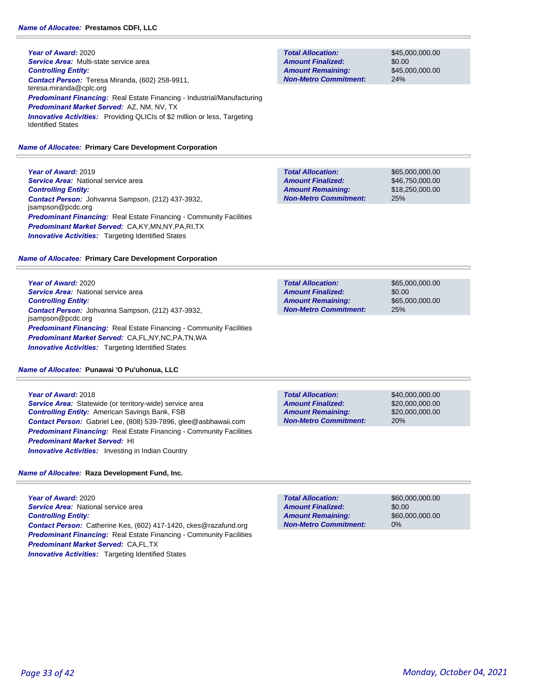**Year of Award:** 2020 *Service Area:* Multi-state service area *Controlling Entity: Contact Person:* Teresa Miranda, (602) 258-9911, teresa.miranda@cplc.org *Predominant Financing:* Real Estate Financing - Industrial/Manufacturing *Predominant Market Served:* AZ, NM, NV, TX **Innovative Activities:** Providing QLICIs of \$2 million or less, Targeting Identified States

#### *Name of Allocatee:* **Primary Care Development Corporation**

**Year of Award:** 2019 **Service Area:** National service area *Controlling Entity: Contact Person:* Johvanna Sampson, (212) 437-3932, jsampson@pcdc.org **Predominant Financing:** Real Estate Financing - Community Facilities *Predominant Market Served:* CA,KY,MN,NY,PA,RI,TX **Innovative Activities:** Targeting Identified States

#### *Name of Allocatee:* **Primary Care Development Corporation**

**Year of Award:** 2020 **Service Area:** National service area *Controlling Entity: Contact Person:* Johvanna Sampson, (212) 437-3932, jsampson@pcdc.org **Predominant Financing:** Real Estate Financing - Community Facilities *Predominant Market Served:* CA,FL,NY,NC,PA,TN,WA *Innovative Activities:* Targeting Identified States

#### *Name of Allocatee:* **Punawai 'O Pu'uhonua, LLC**

**Year of Award:** 2018 *Service Area:* Statewide (or territory-wide) service area *Controlling Entity:* American Savings Bank, FSB *Contact Person:* Gabriel Lee, (808) 539-7896, glee@asbhawaii.com **Predominant Financing:** Real Estate Financing - Community Facilities *Predominant Market Served:* HI

**Innovative Activities:** Investing in Indian Country

*Name of Allocatee:* **Raza Development Fund, Inc.**

**Year of Award:** 2020 **Service Area:** National service area *Controlling Entity: Contact Person:* Catherine Kes, (602) 417-1420, ckes@razafund.org **Predominant Financing:** Real Estate Financing - Community Facilities *Predominant Market Served:* CA,FL,TX **Innovative Activities:** Targeting Identified States

**Total Allocation: Non-Metro Commitment: Amount Remaining: Amount Finalized:**

\$45,000,000.00 \$0.00 \$45,000,000.00 24%

\$65,000,000.00 \$46,750,000.00 \$18,250,000.00 25% **Total Allocation: Non-Metro Commitment: Amount Remaining: Amount Finalized:**

\$65,000,000.00 \$0.00 \$65,000,000.00 25% **Total Allocation: Non-Metro Commitment: Amount Remaining: Amount Finalized:**

**Total Allocation: Non-Metro Commitment: Amount Remaining: Amount Finalized:**

\$40,000,000.00 \$20,000,000.00 \$20,000,000.00 20%

\$60,000,000.00 \$0.00 \$60,000,000.00 0% **Total Allocation: Non-Metro Commitment: Amount Remaining: Amount Finalized:**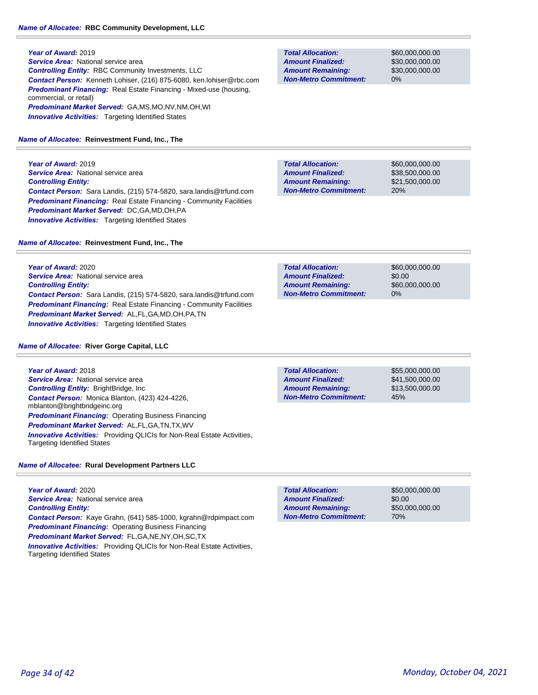**Year of Award:** 2019 *Service Area:* National service area *Controlling Entity:* RBC Community Investments, LLC *Contact Person:* Kenneth Lohiser, (216) 875-6080, ken.lohiser@rbc.com **Predominant Financing:** Real Estate Financing - Mixed-use (housing, commercial, or retail) *Predominant Market Served:* GA,MS,MO,NV,NM,OH,WI **Innovative Activities:** Targeting Identified States

#### *Name of Allocatee:* **Reinvestment Fund, Inc., The**

**Year of Award:** 2019 **Service Area: National service area** *Controlling Entity: Contact Person:* Sara Landis, (215) 574-5820, sara.landis@trfund.com *Predominant Financing:* Real Estate Financing - Community Facilities *Predominant Market Served:* DC,GA,MD,OH,PA **Innovative Activities:** Targeting Identified States

*Name of Allocatee:* **Reinvestment Fund, Inc., The**

**Year of Award:** 2020 **Service Area:** National service area *Controlling Entity: Contact Person:* Sara Landis, (215) 574-5820, sara.landis@trfund.com *Predominant Financing:* Real Estate Financing - Community Facilities *Predominant Market Served:* AL,FL,GA,MD,OH,PA,TN *Innovative Activities:* Targeting Identified States

## *Name of Allocatee:* **River Gorge Capital, LLC**

**Year of Award:** 2018 **Service Area:** National service area *Controlling Entity:* BrightBridge, Inc *Contact Person:* Monica Blanton, (423) 424-4226, mblanton@brightbridgeinc.org **Predominant Financing: Operating Business Financing** *Predominant Market Served:* AL,FL,GA,TN,TX,WV *Innovative Activities:* Providing QLICIs for Non-Real Estate Activities, Targeting Identified States

# *Name of Allocatee:* **Rural Development Partners LLC**

**Year of Award:** 2020 **Service Area:** National service area *Controlling Entity: Contact Person:* Kaye Grahn, (641) 585-1000, kgrahn@rdpimpact.com *Predominant Financing:* Operating Business Financing *Predominant Market Served:* FL,GA,NE,NY,OH,SC,TX *Innovative Activities:* Providing QLICIs for Non-Real Estate Activities, Targeting Identified States

**Total Allocation: Non-Metro Commitment: Amount Remaining: Amount Finalized:**

\$60,000,000.00 \$30,000,000.00 \$30,000,000.00 0%

\$60,000,000.00 \$38,500,000.00 \$21,500,000.00 20% **Total Allocation: Non-Metro Commitment: Amount Remaining: Amount Finalized:**

\$60,000,000.00 \$0.00 \$60,000,000.00 0% **Total Allocation: Non-Metro Commitment: Amount Remaining: Amount Finalized:**

\$55,000,000.00 45% **Total Allocation: Non-Metro Commitment: Amount Remaining: Amount Finalized:**

\$41,500,000.00 \$13,500,000.00

\$50,000,000.00 \$0.00 \$50,000,000.00 70% **Total Allocation: Non-Metro Commitment: Amount Remaining: Amount Finalized:**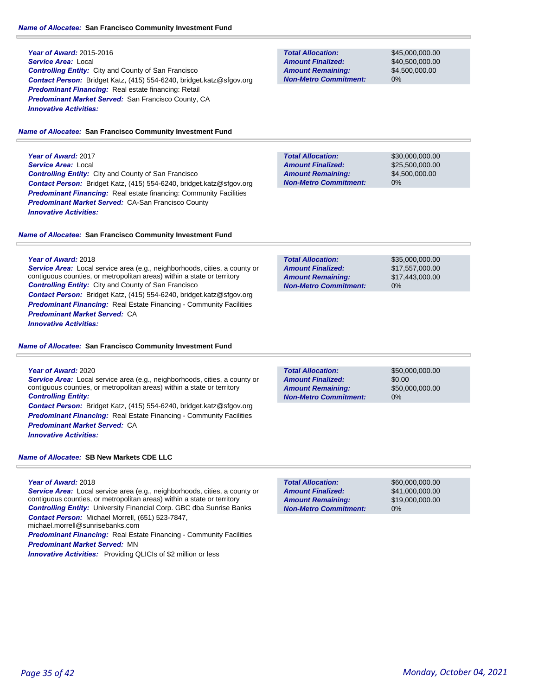#### *Name of Allocatee:* **San Francisco Community Investment Fund**

# **Year of Award:** 2015-2016 *Service Area:* Local *Controlling Entity:* City and County of San Francisco *Contact Person:* Bridget Katz, (415) 554-6240, bridget.katz@sfgov.org *Predominant Financing:* Real estate financing: Retail *Predominant Market Served:* San Francisco County, CA *Innovative Activities:*

#### *Name of Allocatee:* **San Francisco Community Investment Fund**

**Year of Award:** 2017 *Service Area:* Local *Controlling Entity:* City and County of San Francisco *Contact Person:* Bridget Katz, (415) 554-6240, bridget.katz@sfgov.org *Predominant Financing:* Real estate financing: Community Facilities *Predominant Market Served:* CA-San Francisco County *Innovative Activities:* 

#### *Name of Allocatee:* **San Francisco Community Investment Fund**

# **Year of Award:** 2018

*Service Area:* Local service area (e.g., neighborhoods, cities, a county or contiguous counties, or metropolitan areas) within a state or territory *Controlling Entity:* City and County of San Francisco *Contact Person:* Bridget Katz, (415) 554-6240, bridget.katz@sfgov.org *Predominant Financing:* Real Estate Financing - Community Facilities *Predominant Market Served:* CA *Innovative Activities:* 

### *Name of Allocatee:* **San Francisco Community Investment Fund**

## **Year of Award:** 2020 *Service Area:* Local service area (e.g., neighborhoods, cities, a county or contiguous counties, or metropolitan areas) within a state or territory *Controlling Entity:*

*Contact Person:* Bridget Katz, (415) 554-6240, bridget.katz@sfgov.org **Predominant Financing:** Real Estate Financing - Community Facilities *Predominant Market Served:* CA *Innovative Activities:* 

*Name of Allocatee:* **SB New Markets CDE LLC**

## **Year of Award:** 2018

**Service Area:** Local service area (e.g., neighborhoods, cities, a county or contiguous counties, or metropolitan areas) within a state or territory *Controlling Entity:* University Financial Corp. GBC dba Sunrise Banks *Contact Person:* Michael Morrell, (651) 523-7847, michael.morrell@sunrisebanks.com

**Predominant Financing:** Real Estate Financing - Community Facilities *Predominant Market Served:* MN

*Innovative Activities:* Providing QLICIs of \$2 million or less

## **Total Allocation: Non-Metro Commitment: Amount Remaining: Amount Finalized:**

\$45,000,000.00 \$40,500,000.00 \$4,500,000.00 0%

**Total Allocation: Non-Metro Commitment: Amount Remaining: Amount Finalized:**

\$30,000,000.00 \$25,500,000.00 \$4,500,000.00 0%

| <b>Total Allocation:</b>     | \$35,000,000,00 |
|------------------------------|-----------------|
| <b>Amount Finalized:</b>     | \$17.557,000.00 |
| <b>Amount Remaining:</b>     | \$17,443,000.00 |
| <b>Non-Metro Commitment:</b> | $0\%$           |

\$50,000,000.00 \$0.00 0% **Total Allocation: Non-Metro Commitment: Amount Remaining: Amount Finalized:**

\$50,000,000.00

**Total Allocation: Non-Metro Commitment: Amount Remaining: Amount Finalized:**

\$60,000,000.00 \$41,000,000.00 \$19,000,000.00 0%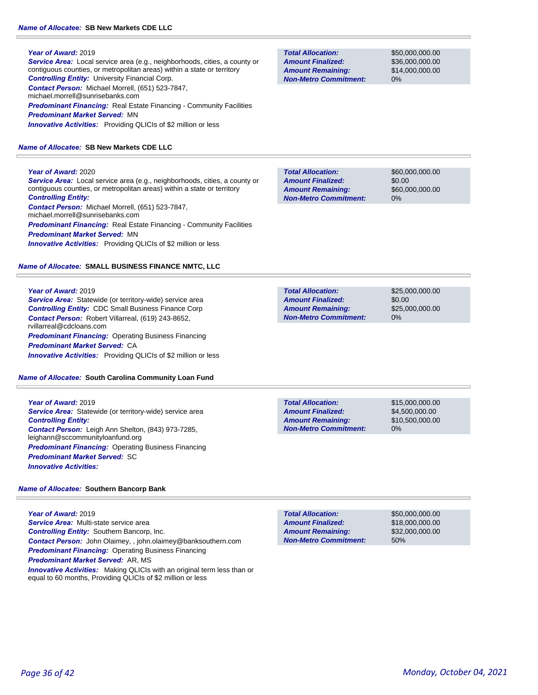## **Year of Award:** 2019

*Service Area:* Local service area (e.g., neighborhoods, cities, a county or contiguous counties, or metropolitan areas) within a state or territory *Controlling Entity:* University Financial Corp. *Contact Person:* Michael Morrell, (651) 523-7847, michael.morrell@sunrisebanks.com **Predominant Financing:** Real Estate Financing - Community Facilities *Predominant Market Served:* MN

**Innovative Activities:** Providing QLICIs of \$2 million or less

## *Name of Allocatee:* **SB New Markets CDE LLC**

## **Year of Award:** 2020

*Service Area:* Local service area (e.g., neighborhoods, cities, a county or contiguous counties, or metropolitan areas) within a state or territory *Controlling Entity:* 

*Contact Person:* Michael Morrell, (651) 523-7847, michael.morrell@sunrisebanks.com **Predominant Financing:** Real Estate Financing - Community Facilities *Predominant Market Served:* MN **Innovative Activities:** Providing QLICIs of \$2 million or less

## *Name of Allocatee:* **SMALL BUSINESS FINANCE NMTC, LLC**

#### **Year of Award:** 2019

*Service Area:* Statewide (or territory-wide) service area *Controlling Entity:* CDC Small Business Finance Corp *Contact Person:* Robert Villarreal, (619) 243-8652, rvillarreal@cdcloans.com **Predominant Financing: Operating Business Financing** *Predominant Market Served:* CA *Innovative Activities:* Providing QLICIs of \$2 million or less

## *Name of Allocatee:* **South Carolina Community Loan Fund**

**Year of Award:** 2019 *Service Area:* Statewide (or territory-wide) service area *Controlling Entity: Contact Person:* Leigh Ann Shelton, (843) 973-7285, leighann@sccommunityloanfund.org *Predominant Financing: Operating Business Financing Predominant Market Served:* SC *Innovative Activities:* 

## *Name of Allocatee:* **Southern Bancorp Bank**

**Year of Award:** 2019 *Service Area:* Multi-state service area *Controlling Entity:* Southern Bancorp, Inc. *Contact Person:* John Olaimey, , john.olaimey@banksouthern.com *Predominant Financing:* Operating Business Financing *Predominant Market Served:* AR, MS *Innovative Activities:* Making QLICIs with an original term less than or equal to 60 months, Providing QLICIs of \$2 million or less

**Total Allocation: Non-Metro Commitment: Amount Remaining: Amount Finalized:**

\$50,000,000.00 \$36,000,000.00 \$14,000,000.00 0%

**Total Allocation: Non-Metro Commitment: Amount Remaining: Amount Finalized:**

\$60,000,000.00 \$0.00 \$60,000,000.00 0%

\$25,000,000.00 \$0.00 \$25,000,000.00 0% **Total Allocation: Non-Metro Commitment: Amount Remaining: Amount Finalized:**

**Total Allocation: Non-Metro Commitment: Amount Remaining: Amount Finalized:**

\$15,000,000.00 \$4,500,000.00 \$10,500,000.00 0%

50% **Total Allocation: Non-Metro Commitment: Amount Remaining: Amount Finalized:**

\$50,000,000.00 \$18,000,000.00 \$32,000,000.00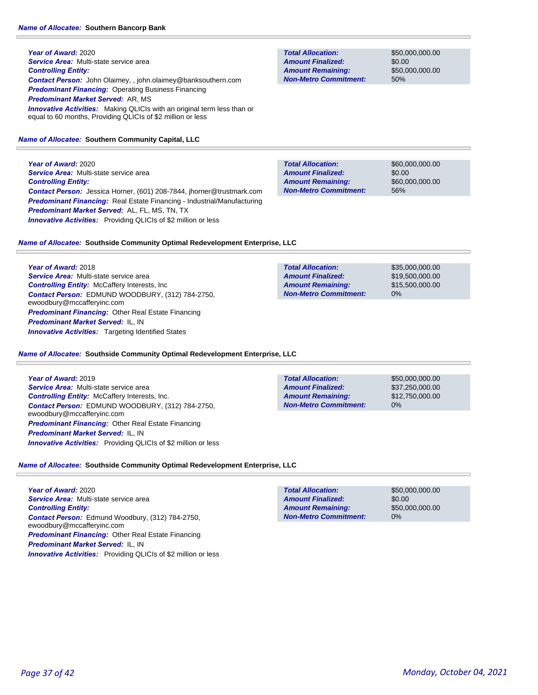**Year of Award:** 2020 *Service Area:* Multi-state service area *Controlling Entity: Contact Person:* John Olaimey, , john.olaimey@banksouthern.com *Predominant Financing:* Operating Business Financing *Predominant Market Served:* AR, MS **Innovative Activities:** Making QLICIs with an original term less than or equal to 60 months, Providing QLICIs of \$2 million or less

#### *Name of Allocatee:* **Southern Community Capital, LLC**

**Year of Award:** 2020 *Service Area:* Multi-state service area *Controlling Entity: Contact Person:* Jessica Horner, (601) 208-7844, jhorner@trustmark.com *Predominant Financing:* Real Estate Financing - Industrial/Manufacturing *Predominant Market Served:* AL, FL, MS, TN, TX **Innovative Activities:** Providing QLICIs of \$2 million or less

## *Name of Allocatee:* **Southside Community Optimal Redevelopment Enterprise, LLC**

**Year of Award:** 2018 *Service Area:* Multi-state service area *Controlling Entity:* McCaffery Interests, Inc *Contact Person:* EDMUND WOODBURY, (312) 784-2750, ewoodbury@mccafferyinc.com *Predominant Financing:* Other Real Estate Financing *Predominant Market Served:* IL, IN *Innovative Activities:* Targeting Identified States

#### *Name of Allocatee:* **Southside Community Optimal Redevelopment Enterprise, LLC**

## **Year of Award:** 2019 *Service Area:* Multi-state service area *Controlling Entity:* McCaffery Interests, Inc. *Contact Person:* EDMUND WOODBURY, (312) 784-2750, ewoodbury@mccafferyinc.com *Predominant Financing:* Other Real Estate Financing *Predominant Market Served:* IL, IN *Innovative Activities:* Providing QLICIs of \$2 million or less

# *Name of Allocatee:* **Southside Community Optimal Redevelopment Enterprise, LLC**

**Year of Award:** 2020 *Service Area:* Multi-state service area *Controlling Entity: Contact Person:* Edmund Woodbury, (312) 784-2750, ewoodbury@mccafferyinc.com *Predominant Financing:* Other Real Estate Financing *Predominant Market Served:* IL, IN *Innovative Activities:* Providing QLICIs of \$2 million or less

**Total Allocation: Non-Metro Commitment: Amount Remaining: Amount Finalized:**

\$50,000,000.00 \$0.00 \$50,000,000.00 50%

\$60,000,000.00 \$0.00 \$60,000,000.00 56% **Total Allocation: Non-Metro Commitment: Amount Remaining: Amount Finalized:**

\$35,000,000.00 \$19,500,000.00 \$15,500,000.00 0% **Total Allocation: Non-Metro Commitment: Amount Remaining: Amount Finalized:**

\$50,000,000.00 \$37,250,000.00 \$12,750,000.00 0% **Total Allocation: Non-Metro Commitment: Amount Remaining: Amount Finalized:**

\$50,000,000.00 \$0.00 \$50,000,000.00 0% **Total Allocation: Non-Metro Commitment: Amount Remaining: Amount Finalized:**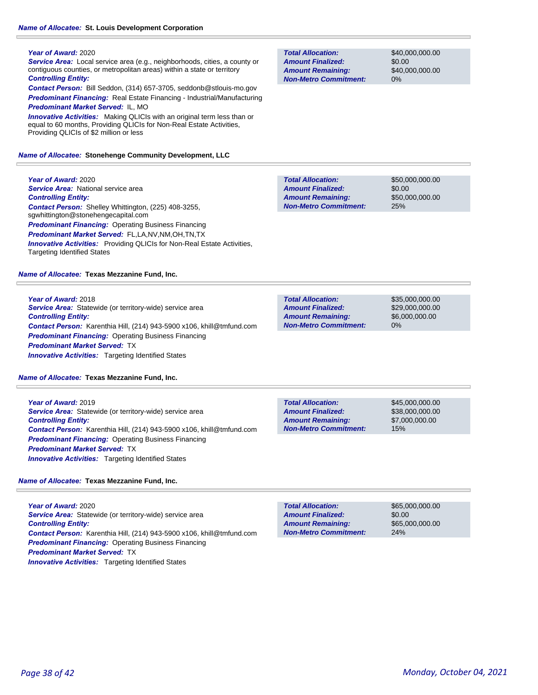#### **Year of Award:** 2020

**Year of Award:** 2020

*Controlling Entity:* 

*Service Area:* Local service area (e.g., neighborhoods, cities, a county or contiguous counties, or metropolitan areas) within a state or territory *Controlling Entity:* 

*Contact Person:* Bill Seddon, (314) 657-3705, seddonb@stlouis-mo.gov *Predominant Financing:* Real Estate Financing - Industrial/Manufacturing

*Predominant Market Served:* IL, MO *Innovative Activities:* Making QLICIs with an original term less than or equal to 60 months, Providing QLICIs for Non-Real Estate Activities, Providing QLICIs of \$2 million or less

#### *Name of Allocatee:* **Stonehenge Community Development, LLC**

**Total Allocation: Non-Metro Commitment: Amount Remaining: Amount Finalized:**

\$40,000,000.00 \$0.00 \$40,000,000.00 0%

**Service Area:** National service area \$50,000,000.00 \$0.00 \$50,000,000.00 25% **Total Allocation: Non-Metro Commitment: Amount Remaining: Amount Finalized:** *Contact Person:* Shelley Whittington, (225) 408-3255, sgwhittington@stonehengecapital.com *Predominant Financing: Operating Business Financing* 

*Predominant Market Served:* FL,LA,NV,NM,OH,TN,TX **Innovative Activities:** Providing QLICIs for Non-Real Estate Activities, Targeting Identified States

## *Name of Allocatee:* **Texas Mezzanine Fund, Inc.**

**Year of Award:** 2018 *Service Area:* Statewide (or territory-wide) service area *Controlling Entity: Contact Person:* Karenthia Hill, (214) 943-5900 x106, khill@tmfund.com *Predominant Financing: Operating Business Financing Predominant Market Served:* TX *Innovative Activities:* Targeting Identified States

*Name of Allocatee:* **Texas Mezzanine Fund, Inc.**

**Year of Award:** 2019 *Service Area:* Statewide (or territory-wide) service area *Controlling Entity: Contact Person:* Karenthia Hill, (214) 943-5900 x106, khill@tmfund.com *Predominant Financing:* Operating Business Financing *Predominant Market Served:* TX *Innovative Activities:* Targeting Identified States

#### *Name of Allocatee:* **Texas Mezzanine Fund, Inc.**

**Year of Award:** 2020 **Service Area:** Statewide (or territory-wide) service area *Controlling Entity: Contact Person:* Karenthia Hill, (214) 943-5900 x106, khill@tmfund.com *Predominant Financing: Operating Business Financing Predominant Market Served:* TX **Innovative Activities:** Targeting Identified States

| <b>Total Allocation:</b>     | \$65,000,000,00 |
|------------------------------|-----------------|
| <b>Amount Finalized:</b>     | \$0.00          |
| <b>Amount Remaining:</b>     | \$65,000,000,00 |
| <b>Non-Metro Commitment:</b> | 24%             |
|                              |                 |

**Total Allocation: Non-Metro Commitment: Amount Remaining: Amount Finalized:**

\$35,000,000.00 \$29,000,000.00 \$6,000,000.00 0%

**Total Allocation: Non-Metro Commitment: Amount Remaining: Amount Finalized:**

\$45,000,000.00 \$38,000,000.00 \$7,000,000.00 15%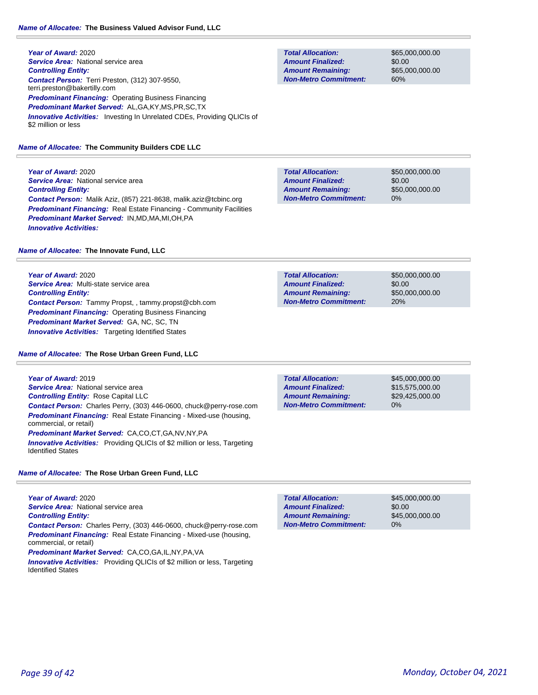**Year of Award:** 2020 **Service Area:** National service area *Controlling Entity: Contact Person:* Terri Preston, (312) 307-9550, terri.preston@bakertilly.com **Predominant Financing: Operating Business Financing** *Predominant Market Served:* AL,GA,KY,MS,PR,SC,TX *Innovative Activities:* Investing In Unrelated CDEs, Providing QLICIs of \$2 million or less

*Name of Allocatee:* **The Community Builders CDE LLC**

**Year of Award:** 2020 **Service Area:** National service area *Controlling Entity: Contact Person:* Malik Aziz, (857) 221-8638, malik.aziz@tcbinc.org **Predominant Financing:** Real Estate Financing - Community Facilities *Predominant Market Served:* IN,MD,MA,MI,OH,PA *Innovative Activities:* 

# *Name of Allocatee:* **The Innovate Fund, LLC**

**Year of Award:** 2020 *Service Area:* Multi-state service area *Controlling Entity: Contact Person:* Tammy Propst, , tammy.propst@cbh.com *Predominant Financing:* Operating Business Financing *Predominant Market Served:* GA, NC, SC, TN **Innovative Activities:** Targeting Identified States

# *Name of Allocatee:* **The Rose Urban Green Fund, LLC**

**Year of Award:** 2019 *Service Area:* National service area *Controlling Entity:* Rose Capital LLC *Contact Person:* Charles Perry, (303) 446-0600, chuck@perry-rose.com *Predominant Financing:* Real Estate Financing - Mixed-use (housing, commercial, or retail) *Predominant Market Served:* CA,CO,CT,GA,NV,NY,PA

*Innovative Activities:* Providing QLICIs of \$2 million or less, Targeting Identified States

*Name of Allocatee:* **The Rose Urban Green Fund, LLC**

**Year of Award:** 2020 **Service Area:** National service area *Controlling Entity: Contact Person:* Charles Perry, (303) 446-0600, chuck@perry-rose.com *Predominant Financing:* Real Estate Financing - Mixed-use (housing, commercial, or retail) *Predominant Market Served:* CA,CO,GA,IL,NY,PA,VA

*Innovative Activities:* Providing QLICIs of \$2 million or less, Targeting Identified States

**Total Allocation: Non-Metro Commitment: Amount Remaining: Amount Finalized:**

\$65,000,000.00 \$0.00 \$65,000,000.00 60%

**Total Allocation: Non-Metro Commitment: Amount Remaining: Amount Finalized:**

\$50,000,000.00 \$0.00 \$50,000,000.00 0%

**Total Allocation: Non-Metro Commitment: Amount Remaining: Amount Finalized:**

\$50,000,000.00 \$0.00 \$50,000,000.00 20%

0% **Total Allocation: Non-Metro Commitment: Amount Remaining: Amount Finalized:**

\$45,000,000.00 \$15,575,000.00 \$29,425,000.00

\$45,000,000.00 \$0.00 \$45,000,000.00 0% **Total Allocation: Non-Metro Commitment: Amount Remaining: Amount Finalized:**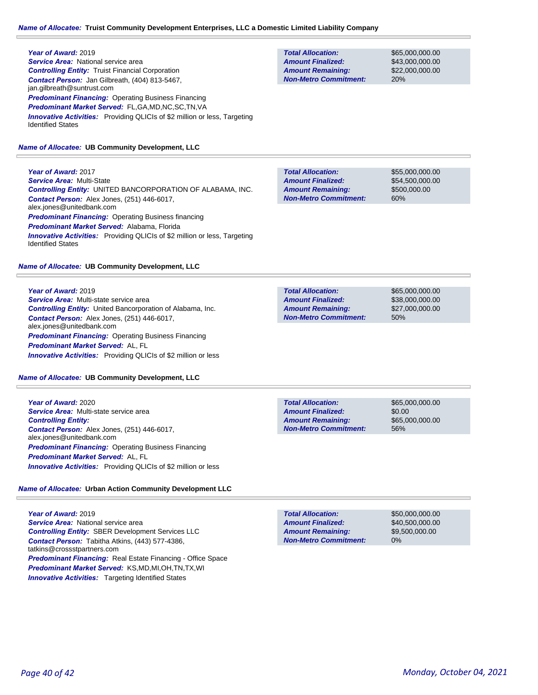## **Year of Award:** 2019 **Service Area:** National service area *Controlling Entity:* Truist Financial Corporation *Contact Person:* Jan Gilbreath, (404) 813-5467, jan.gilbreath@suntrust.com **Predominant Financing: Operating Business Financing** *Predominant Market Served:* FL,GA,MD,NC,SC,TN,VA **Innovative Activities:** Providing QLICIs of \$2 million or less, Targeting Identified States

## *Name of Allocatee:* **UB Community Development, LLC**

**Year of Award:** 2017 *Service Area:* Multi-State *Controlling Entity:* UNITED BANCORPORATION OF ALABAMA, INC. *Contact Person:* Alex Jones, (251) 446-6017, alex.jones@unitedbank.com **Predominant Financing: Operating Business financing** *Predominant Market Served:* Alabama, Florida **Innovative Activities:** Providing QLICIs of \$2 million or less, Targeting Identified States

#### *Name of Allocatee:* **UB Community Development, LLC**

**Year of Award:** 2019 *Service Area:* Multi-state service area *Controlling Entity:* United Bancorporation of Alabama, Inc. *Contact Person:* Alex Jones, (251) 446-6017, alex.jones@unitedbank.com *Predominant Financing: Operating Business Financing Predominant Market Served:* AL, FL *Innovative Activities:* Providing QLICIs of \$2 million or less

*Name of Allocatee:* **UB Community Development, LLC**

**Year of Award:** 2020 *Service Area:* Multi-state service area *Controlling Entity: Contact Person:* Alex Jones, (251) 446-6017, alex.jones@unitedbank.com *Predominant Financing: Operating Business Financing Predominant Market Served:* AL, FL *Innovative Activities:* Providing QLICIs of \$2 million or less

# *Name of Allocatee:* **Urban Action Community Development LLC**

**Year of Award:** 2019 *Service Area:* National service area *Controlling Entity:* SBER Development Services LLC *Contact Person:* Tabitha Atkins, (443) 577-4386, tatkins@crossstpartners.com *Predominant Financing:* Real Estate Financing - Office Space *Predominant Market Served:* KS,MD,MI,OH,TN,TX,WI **Innovative Activities:** Targeting Identified States

**Total Allocation: Non-Metro Commitment: Amount Remaining: Amount Finalized:**

\$65,000,000.00 \$43,000,000.00 \$22,000,000.00 20%

**Total Allocation: Non-Metro Commitment: Amount Remaining: Amount Finalized:**

\$55,000,000.00 \$54,500,000.00 \$500,000.00 60%

\$65,000,000.00 \$38,000,000.00 \$27,000,000.00 50% **Total Allocation: Non-Metro Commitment: Amount Remaining: Amount Finalized:**

**Total Allocation: Non-Metro Commitment: Amount Remaining: Amount Finalized:**

\$65,000,000.00 \$0.00 \$65,000,000.00 56%

**Total Allocation: Non-Metro Commitment: Amount Remaining: Amount Finalized:**

\$50,000,000.00 \$40,500,000.00 \$9,500,000.00 0%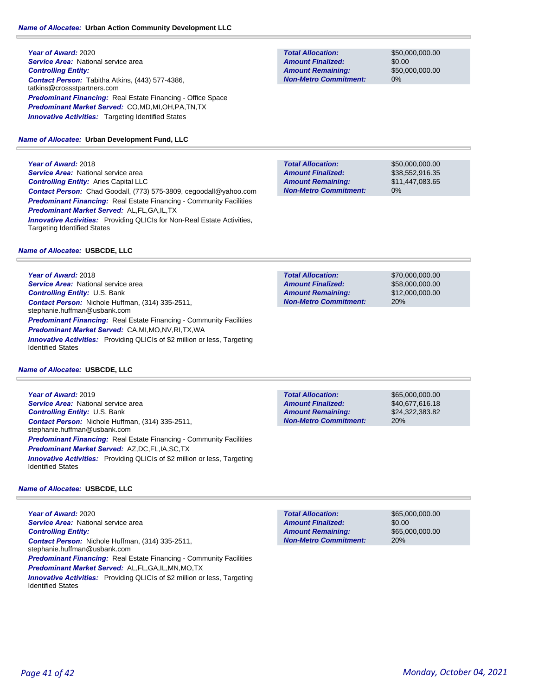# **Year of Award:** 2020 **Service Area: National service area** *Controlling Entity: Contact Person:* Tabitha Atkins, (443) 577-4386, tatkins@crossstpartners.com *Predominant Financing:* Real Estate Financing - Office Space *Predominant Market Served:* CO,MD,MI,OH,PA,TN,TX **Innovative Activities:** Targeting Identified States

## *Name of Allocatee:* **Urban Development Fund, LLC**

**Year of Award:** 2018 *Service Area:* National service area *Controlling Entity:* Aries Capital LLC *Contact Person:* Chad Goodall, (773) 575-3809, cegoodall@yahoo.com *Predominant Financing:* Real Estate Financing - Community Facilities *Predominant Market Served:* AL,FL,GA,IL,TX **Innovative Activities:** Providing QLICIs for Non-Real Estate Activities, Targeting Identified States

## *Name of Allocatee:* **USBCDE, LLC**

**Year of Award:** 2018 **Service Area:** National service area *Controlling Entity:* U.S. Bank *Contact Person:* Nichole Huffman, (314) 335-2511, stephanie.huffman@usbank.com **Predominant Financing:** Real Estate Financing - Community Facilities *Predominant Market Served:* CA,MI,MO,NV,RI,TX,WA **Innovative Activities:** Providing QLICIs of \$2 million or less, Targeting Identified States

#### *Name of Allocatee:* **USBCDE, LLC**

**Year of Award:** 2019 **Service Area:** National service area *Controlling Entity:* U.S. Bank *Contact Person:* Nichole Huffman, (314) 335-2511, stephanie.huffman@usbank.com *Predominant Financing:* Real Estate Financing - Community Facilities *Predominant Market Served:* AZ,DC,FL,IA,SC,TX *Innovative Activities:* Providing QLICIs of \$2 million or less, Targeting Identified States

## *Name of Allocatee:* **USBCDE, LLC**

**Year of Award:** 2020 **Service Area:** National service area *Controlling Entity: Contact Person:* Nichole Huffman, (314) 335-2511, stephanie.huffman@usbank.com **Predominant Financing:** Real Estate Financing - Community Facilities *Predominant Market Served:* AL,FL,GA,IL,MN,MO,TX *Innovative Activities:* Providing QLICIs of \$2 million or less, Targeting Identified States

**Total Allocation: Non-Metro Commitment: Amount Remaining: Amount Finalized:**

\$50,000,000.00 \$0.00 \$50,000,000.00 0%

\$50,000,000.00 \$38,552,916.35 \$11,447,083.65 0% **Total Allocation: Non-Metro Commitment: Amount Remaining: Amount Finalized:**

\$70,000,000.00 \$58,000,000.00 \$12,000,000.00 20% **Total Allocation: Non-Metro Commitment: Amount Remaining: Amount Finalized:**

\$65,000,000.00 20% **Total Allocation: Non-Metro Commitment: Amount Remaining: Amount Finalized:**

\$40,677,616.18 \$24,322,383.82

\$65,000,000.00 \$0.00 \$65,000,000.00 20% **Total Allocation: Non-Metro Commitment: Amount Remaining: Amount Finalized:**